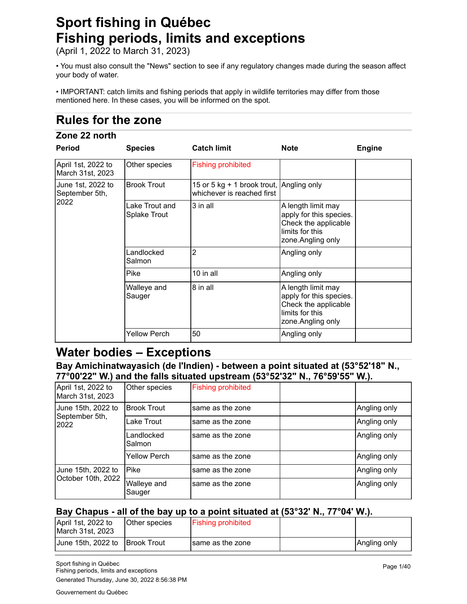# **Sport fishing in Québec Fishing periods, limits and exceptions**

(April 1, 2022 to March 31, 2023)

• You must also consult the "News" section to see if any regulatory changes made during the season affect your body of water.

• IMPORTANT: catch limits and fishing periods that apply in wildlife territories may differ from those mentioned here. In these cases, you will be informed on the spot.

# **Rules for the zone**

# **Zone 22 north**

| <b>Period</b>                          | <b>Species</b>                 | <b>Catch limit</b>                                                     | <b>Note</b>                                                                                                    | <b>Engine</b> |
|----------------------------------------|--------------------------------|------------------------------------------------------------------------|----------------------------------------------------------------------------------------------------------------|---------------|
| April 1st, 2022 to<br>March 31st, 2023 | Other species                  | <b>Fishing prohibited</b>                                              |                                                                                                                |               |
| June 1st, 2022 to<br>September 5th,    | <b>Brook Trout</b>             | 15 or 5 kg + 1 brook trout, Angling only<br>whichever is reached first |                                                                                                                |               |
| 2022                                   | Lake Trout and<br>Splake Trout | 3 in all                                                               | A length limit may<br>apply for this species.<br>Check the applicable<br>limits for this<br>zone. Angling only |               |
|                                        | Landlocked<br>Salmon           | $\overline{2}$                                                         | Angling only                                                                                                   |               |
|                                        | <b>Pike</b>                    | 10 in all                                                              | Angling only                                                                                                   |               |
|                                        | Walleye and<br>Sauger          | 8 in all                                                               | A length limit may<br>apply for this species.<br>Check the applicable<br>limits for this<br>zone. Angling only |               |
|                                        | <b>Yellow Perch</b>            | 50                                                                     | Angling only                                                                                                   |               |

# **Water bodies – Exceptions**

**Bay Amichinatwayasich (de l'Indien) - between a point situated at (53°52'18" N., 77°00'22" W.) and the falls situated upstream (53°52'32" N., 76°59'55" W.).**

| April 1st, 2022 to<br>March 31st, 2023   | Other species         | <b>Fishing prohibited</b> |              |
|------------------------------------------|-----------------------|---------------------------|--------------|
| June 15th, 2022 to                       | <b>Brook Trout</b>    | same as the zone          | Angling only |
| September 5th,<br>2022                   | Lake Trout            | same as the zone          | Angling only |
|                                          | Landlocked<br>Salmon  | same as the zone          | Angling only |
|                                          | <b>Yellow Perch</b>   | same as the zone          | Angling only |
| June 15th, 2022 to<br>October 10th, 2022 | <b>Pike</b>           | same as the zone          | Angling only |
|                                          | Walleye and<br>Sauger | same as the zone          | Angling only |

#### **Bay Chapus - all of the bay up to a point situated at (53°32' N., 77°04' W.).**

| April 1st, 2022 to<br>March 31st, 2023 | Other species | <b>Fishing prohibited</b> |              |
|----------------------------------------|---------------|---------------------------|--------------|
| June 15th, 2022 to                     | IBrook Trout  | same as the zone          | Angling only |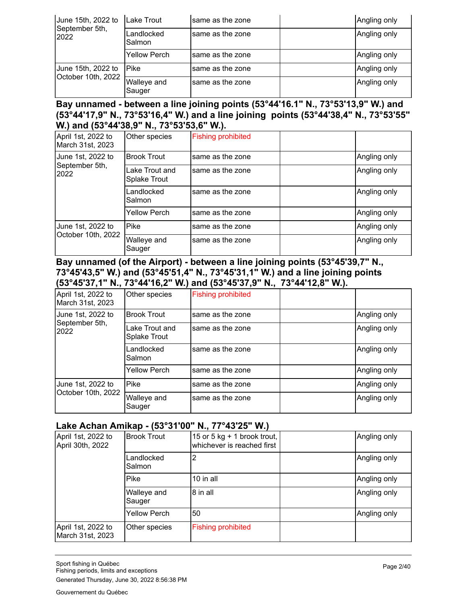| June 15th, 2022 to<br>September 5th,<br>2022 | Lake Trout            | same as the zone | Angling only |
|----------------------------------------------|-----------------------|------------------|--------------|
|                                              | Landlocked<br>Salmon  | same as the zone | Angling only |
|                                              | <b>Yellow Perch</b>   | same as the zone | Angling only |
| June 15th, 2022 to<br>October 10th, 2022     | Pike                  | same as the zone | Angling only |
|                                              | Walleye and<br>Sauger | same as the zone | Angling only |

#### **Bay unnamed - between a line joining points (53°44'16.1" N., 73°53'13,9" W.) and (53°44'17,9" N., 73°53'16,4" W.) and a line joining points (53°44'38,4" N., 73°53'55" W.) and (53°44'38,9" N., 73°53'53,6" W.).**

| April 1st, 2022 to<br>March 31st, 2023  | Other species                  | <b>Fishing prohibited</b> |              |
|-----------------------------------------|--------------------------------|---------------------------|--------------|
| June 1st, 2022 to                       | <b>Brook Trout</b>             | same as the zone          | Angling only |
| September 5th,<br>2022                  | Lake Trout and<br>Splake Trout | same as the zone          | Angling only |
|                                         | Landlocked<br>Salmon           | same as the zone          | Angling only |
|                                         | Yellow Perch                   | same as the zone          | Angling only |
| June 1st, 2022 to<br>October 10th, 2022 | Pike                           | same as the zone          | Angling only |
|                                         | Walleye and<br>Sauger          | same as the zone          | Angling only |

#### **Bay unnamed (of the Airport) - between a line joining points (53°45'39,7" N., 73°45'43,5" W.) and (53°45'51,4" N., 73°45'31,1" W.) and a line joining points (53°45'37,1" N., 73°44'16,2" W.) and (53°45'37,9" N., 73°44'12,8" W.).**

| April 1st, 2022 to<br>March 31st, 2023  | Other species                  | <b>Fishing prohibited</b> |              |
|-----------------------------------------|--------------------------------|---------------------------|--------------|
| June 1st, 2022 to                       | <b>Brook Trout</b>             | same as the zone          | Angling only |
| September 5th,<br>2022                  | Lake Trout and<br>Splake Trout | same as the zone          | Angling only |
|                                         | Landlocked<br>Salmon           | same as the zone          | Angling only |
|                                         | <b>Yellow Perch</b>            | same as the zone          | Angling only |
| June 1st, 2022 to<br>October 10th, 2022 | Pike                           | same as the zone          | Angling only |
|                                         | Walleye and<br>Sauger          | same as the zone          | Angling only |

#### **Lake Achan Amikap - (53°31'00" N., 77°43'25" W.)**

| April 1st, 2022 to<br>April 30th, 2022 | <b>Brook Trout</b>    | 15 or 5 kg + 1 brook trout,<br>whichever is reached first | Angling only |
|----------------------------------------|-----------------------|-----------------------------------------------------------|--------------|
|                                        | Landlocked<br>Salmon  | 2                                                         | Angling only |
|                                        | <b>Pike</b>           | 10 in all                                                 | Angling only |
|                                        | Walleye and<br>Sauger | 8 in all                                                  | Angling only |
|                                        | <b>Yellow Perch</b>   | 50                                                        | Angling only |
| April 1st, 2022 to<br>March 31st, 2023 | Other species         | <b>Fishing prohibited</b>                                 |              |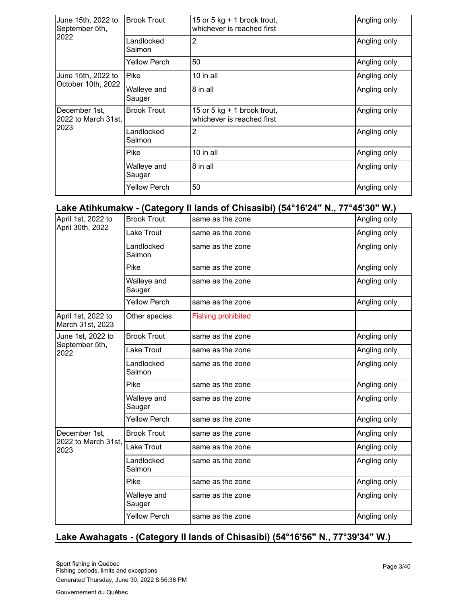| June 15th, 2022 to<br>September 5th, | <b>Brook Trout</b>    | 15 or 5 kg + 1 brook trout,<br>whichever is reached first   | Angling only |
|--------------------------------------|-----------------------|-------------------------------------------------------------|--------------|
| 2022                                 | Landlocked<br>Salmon  | 2                                                           | Angling only |
|                                      | <b>Yellow Perch</b>   | 50                                                          | Angling only |
| June 15th, 2022 to                   | Pike                  | 10 in all                                                   | Angling only |
| October 10th, 2022                   | Walleye and<br>Sauger | 8 in all                                                    | Angling only |
| December 1st,<br>2022 to March 31st, | <b>Brook Trout</b>    | 15 or 5 kg $+$ 1 brook trout,<br>whichever is reached first | Angling only |
| 2023                                 | Landlocked<br>Salmon  | 2                                                           | Angling only |
|                                      | Pike                  | $10$ in all                                                 | Angling only |
|                                      | Walleye and<br>Sauger | 8 in all                                                    | Angling only |
|                                      | Yellow Perch          | 50                                                          | Angling only |

# **Lake Atihkumakw - (Category II lands of Chisasibi) (54°16'24" N., 77°45'30" W.)**

| April 1st, 2022 to                     | <b>Brook Trout</b>    | same as the zone          | Angling only |
|----------------------------------------|-----------------------|---------------------------|--------------|
| April 30th, 2022                       | Lake Trout            | same as the zone          | Angling only |
|                                        | Landlocked<br>Salmon  | same as the zone          | Angling only |
|                                        | Pike                  | same as the zone          | Angling only |
|                                        | Walleye and<br>Sauger | same as the zone          | Angling only |
|                                        | <b>Yellow Perch</b>   | same as the zone          | Angling only |
| April 1st, 2022 to<br>March 31st, 2023 | Other species         | <b>Fishing prohibited</b> |              |
| June 1st, 2022 to                      | <b>Brook Trout</b>    | same as the zone          | Angling only |
| September 5th,<br>2022                 | Lake Trout            | same as the zone          | Angling only |
|                                        | Landlocked<br>Salmon  | same as the zone          | Angling only |
|                                        | <b>Pike</b>           | same as the zone          | Angling only |
|                                        | Walleye and<br>Sauger | same as the zone          | Angling only |
|                                        | <b>Yellow Perch</b>   | same as the zone          | Angling only |
| December 1st,                          | <b>Brook Trout</b>    | same as the zone          | Angling only |
| 2022 to March 31st,<br>2023            | Lake Trout            | same as the zone          | Angling only |
|                                        | Landlocked<br>Salmon  | same as the zone          | Angling only |
|                                        | Pike                  | same as the zone          | Angling only |
|                                        | Walleye and<br>Sauger | same as the zone          | Angling only |
|                                        | <b>Yellow Perch</b>   | same as the zone          | Angling only |
|                                        |                       |                           |              |

#### **Lake Awahagats - (Category II lands of Chisasibi) (54°16'56" N., 77°39'34" W.)**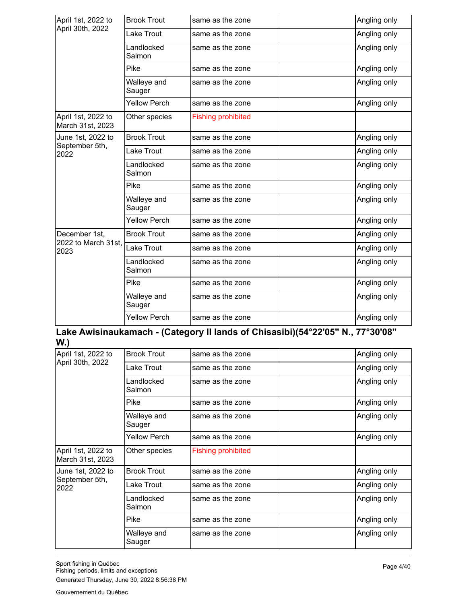| April 1st, 2022 to                     | <b>Brook Trout</b>    | same as the zone          | Angling only |
|----------------------------------------|-----------------------|---------------------------|--------------|
| April 30th, 2022                       | Lake Trout            | same as the zone          | Angling only |
|                                        | Landlocked<br>Salmon  | same as the zone          | Angling only |
|                                        | Pike                  | same as the zone          | Angling only |
|                                        | Walleye and<br>Sauger | same as the zone          | Angling only |
|                                        | <b>Yellow Perch</b>   | same as the zone          | Angling only |
| April 1st, 2022 to<br>March 31st, 2023 | Other species         | <b>Fishing prohibited</b> |              |
| June 1st, 2022 to                      | <b>Brook Trout</b>    | same as the zone          | Angling only |
| September 5th,<br>2022                 | Lake Trout            | same as the zone          | Angling only |
|                                        | Landlocked<br>Salmon  | same as the zone          | Angling only |
|                                        | Pike                  | same as the zone          | Angling only |
|                                        | Walleye and<br>Sauger | same as the zone          | Angling only |
|                                        | <b>Yellow Perch</b>   | same as the zone          | Angling only |
| December 1st.<br>2022 to March 31st,   | <b>Brook Trout</b>    | same as the zone          | Angling only |
| 2023                                   | <b>Lake Trout</b>     | same as the zone          | Angling only |
|                                        | Landlocked<br>Salmon  | same as the zone          | Angling only |
|                                        | Pike                  | same as the zone          | Angling only |
|                                        | Walleye and<br>Sauger | same as the zone          | Angling only |
|                                        | <b>Yellow Perch</b>   | same as the zone          | Angling only |

#### **Lake Awisinaukamach - (Category II lands of Chisasibi)(54°22'05" N., 77°30'08" W.)**

| April 1st, 2022 to                     | <b>Brook Trout</b>    | same as the zone          | Angling only |
|----------------------------------------|-----------------------|---------------------------|--------------|
| April 30th, 2022                       | Lake Trout            | same as the zone          | Angling only |
|                                        | Landlocked<br>Salmon  | same as the zone          | Angling only |
|                                        | Pike                  | same as the zone          | Angling only |
|                                        | Walleye and<br>Sauger | same as the zone          | Angling only |
|                                        | <b>Yellow Perch</b>   | same as the zone          | Angling only |
| April 1st, 2022 to<br>March 31st, 2023 | Other species         | <b>Fishing prohibited</b> |              |
| June 1st, 2022 to                      | <b>Brook Trout</b>    | same as the zone          | Angling only |
| September 5th,<br>2022                 | Lake Trout            | same as the zone          | Angling only |
|                                        | Landlocked<br>Salmon  | same as the zone          | Angling only |
|                                        | Pike                  | same as the zone          | Angling only |
|                                        | Walleye and<br>Sauger | same as the zone          | Angling only |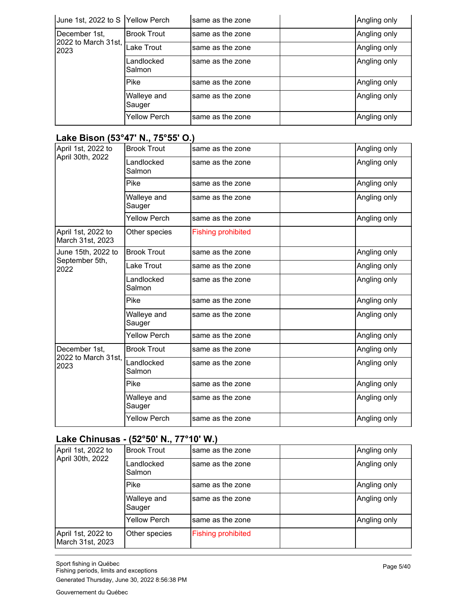| June 1st, 2022 to S Yellow Perch |                       | same as the zone | Angling only |
|----------------------------------|-----------------------|------------------|--------------|
| December 1st,                    | <b>Brook Trout</b>    | same as the zone | Angling only |
| 2022 to March 31st,<br>2023      | <b>Lake Trout</b>     | same as the zone | Angling only |
|                                  | Landlocked<br>Salmon  | same as the zone | Angling only |
|                                  | Pike                  | same as the zone | Angling only |
|                                  | Walleye and<br>Sauger | same as the zone | Angling only |
|                                  | Yellow Perch          | same as the zone | Angling only |

# **Lake Bison (53°47' N., 75°55' O.)**

| April 1st, 2022 to<br>April 30th, 2022 | <b>Brook Trout</b>    | same as the zone          | Angling only |
|----------------------------------------|-----------------------|---------------------------|--------------|
|                                        | Landlocked<br>Salmon  | same as the zone          | Angling only |
|                                        | Pike                  | same as the zone          | Angling only |
|                                        | Walleye and<br>Sauger | same as the zone          | Angling only |
|                                        | Yellow Perch          | same as the zone          | Angling only |
| April 1st, 2022 to<br>March 31st, 2023 | Other species         | <b>Fishing prohibited</b> |              |
| June 15th, 2022 to                     | <b>Brook Trout</b>    | same as the zone          | Angling only |
| September 5th,<br>2022                 | Lake Trout            | same as the zone          | Angling only |
|                                        | Landlocked<br>Salmon  | same as the zone          | Angling only |
|                                        | Pike                  | same as the zone          | Angling only |
|                                        | Walleye and<br>Sauger | same as the zone          | Angling only |
|                                        | <b>Yellow Perch</b>   | same as the zone          | Angling only |
| December 1st.                          | <b>Brook Trout</b>    | same as the zone          | Angling only |
| 2022 to March 31st.<br>2023            | Landlocked<br>Salmon  | same as the zone          | Angling only |
|                                        | Pike                  | same as the zone          | Angling only |
|                                        | Walleye and<br>Sauger | same as the zone          | Angling only |
|                                        | <b>Yellow Perch</b>   | same as the zone          | Angling only |

# **Lake Chinusas - (52°50' N., 77°10' W.)**

| April 1st, 2022 to<br>April 30th, 2022 | <b>Brook Trout</b>    | same as the zone          | Angling only |
|----------------------------------------|-----------------------|---------------------------|--------------|
|                                        | Landlocked<br>Salmon  | same as the zone          | Angling only |
|                                        | <b>Pike</b>           | same as the zone          | Angling only |
|                                        | Walleye and<br>Sauger | same as the zone          | Angling only |
|                                        | <b>Yellow Perch</b>   | same as the zone          | Angling only |
| April 1st, 2022 to<br>March 31st, 2023 | Other species         | <b>Fishing prohibited</b> |              |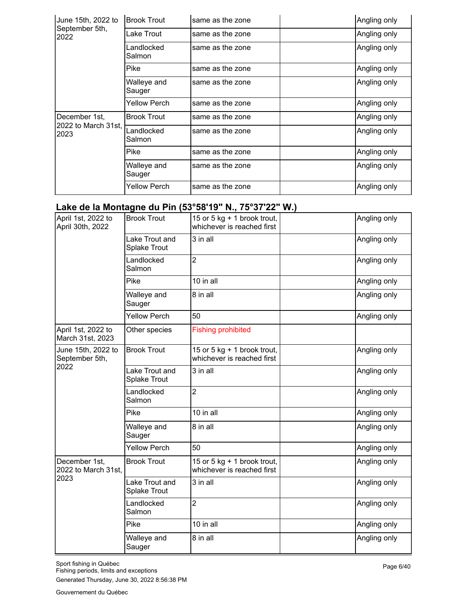| June 15th, 2022 to          | <b>Brook Trout</b>    | same as the zone | Angling only |
|-----------------------------|-----------------------|------------------|--------------|
| September 5th,<br>2022      | Lake Trout            | same as the zone | Angling only |
|                             | Landlocked<br>Salmon  | same as the zone | Angling only |
|                             | Pike                  | same as the zone | Angling only |
|                             | Walleye and<br>Sauger | same as the zone | Angling only |
|                             | Yellow Perch          | same as the zone | Angling only |
| December 1st,               | <b>Brook Trout</b>    | same as the zone | Angling only |
| 2022 to March 31st,<br>2023 | Landlocked<br>Salmon  | same as the zone | Angling only |
|                             | Pike                  | same as the zone | Angling only |
|                             | Walleye and<br>Sauger | same as the zone | Angling only |
|                             | <b>Yellow Perch</b>   | same as the zone | Angling only |

## **Lake de la Montagne du Pin (53°58'19" N., 75°37'22" W.)**

| April 1st, 2022 to<br>April 30th, 2022       | <b>Brook Trout</b>                    | 15 or 5 kg $+$ 1 brook trout,<br>whichever is reached first | Angling only |
|----------------------------------------------|---------------------------------------|-------------------------------------------------------------|--------------|
|                                              | Lake Trout and<br>Splake Trout        | 3 in all                                                    | Angling only |
|                                              | Landlocked<br>Salmon                  | $\overline{2}$                                              | Angling only |
|                                              | Pike                                  | 10 in all                                                   | Angling only |
|                                              | Walleye and<br>Sauger                 | 8 in all                                                    | Angling only |
|                                              | <b>Yellow Perch</b>                   | 50                                                          | Angling only |
| April 1st, 2022 to<br>March 31st, 2023       | Other species                         | <b>Fishing prohibited</b>                                   |              |
| June 15th, 2022 to<br>September 5th,         | <b>Brook Trout</b>                    | 15 or 5 kg + 1 brook trout,<br>whichever is reached first   | Angling only |
| 2022                                         | Lake Trout and<br><b>Splake Trout</b> | 3 in all                                                    | Angling only |
|                                              | Landlocked<br>Salmon                  | $\overline{2}$                                              | Angling only |
|                                              | Pike                                  | 10 in all                                                   | Angling only |
|                                              | Walleye and<br>Sauger                 | 8 in all                                                    | Angling only |
|                                              | <b>Yellow Perch</b>                   | 50                                                          | Angling only |
| December 1st,<br>2022 to March 31st,<br>2023 | <b>Brook Trout</b>                    | 15 or 5 kg $+$ 1 brook trout,<br>whichever is reached first | Angling only |
|                                              | Lake Trout and<br><b>Splake Trout</b> | 3 in all                                                    | Angling only |
|                                              | Landlocked<br>Salmon                  | $\overline{2}$                                              | Angling only |
|                                              | Pike                                  | 10 in all                                                   | Angling only |
|                                              | Walleye and<br>Sauger                 | 8 in all                                                    | Angling only |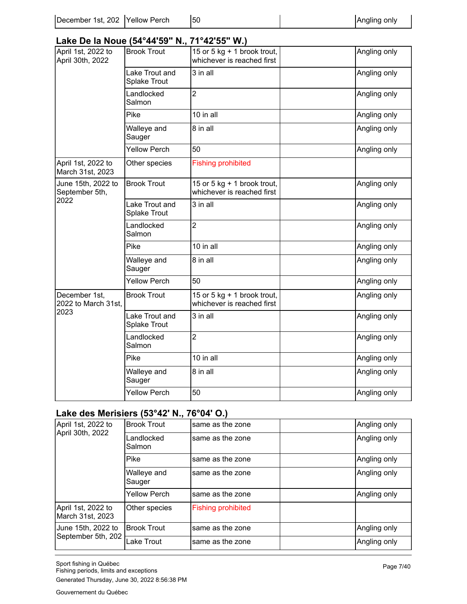#### **Lake De la Noue (54°44'59" N., 71°42'55" W.)**

|                                              |                                       | .                                                           |              |
|----------------------------------------------|---------------------------------------|-------------------------------------------------------------|--------------|
| April 1st, 2022 to<br>April 30th, 2022       | <b>Brook Trout</b>                    | 15 or 5 kg + 1 brook trout,<br>whichever is reached first   | Angling only |
|                                              | Lake Trout and<br>Splake Trout        | 3 in all                                                    | Angling only |
|                                              | Landlocked<br>Salmon                  | $\overline{2}$                                              | Angling only |
|                                              | Pike                                  | 10 in all                                                   | Angling only |
|                                              | Walleye and<br>Sauger                 | 8 in all                                                    | Angling only |
|                                              | <b>Yellow Perch</b>                   | 50                                                          | Angling only |
| April 1st, 2022 to<br>March 31st, 2023       | Other species                         | <b>Fishing prohibited</b>                                   |              |
| June 15th, 2022 to<br>September 5th,         | <b>Brook Trout</b>                    | 15 or 5 kg $+$ 1 brook trout,<br>whichever is reached first | Angling only |
| 2022                                         | Lake Trout and<br><b>Splake Trout</b> | 3 in all                                                    | Angling only |
|                                              | Landlocked<br>Salmon                  | $\overline{2}$                                              | Angling only |
|                                              | Pike                                  | 10 in all                                                   | Angling only |
|                                              | Walleye and<br>Sauger                 | 8 in all                                                    | Angling only |
|                                              | <b>Yellow Perch</b>                   | 50                                                          | Angling only |
| December 1st,<br>2022 to March 31st,<br>2023 | <b>Brook Trout</b>                    | 15 or 5 kg + 1 brook trout,<br>whichever is reached first   | Angling only |
|                                              | Lake Trout and<br><b>Splake Trout</b> | 3 in all                                                    | Angling only |
|                                              | Landlocked<br>Salmon                  | $\overline{2}$                                              | Angling only |
|                                              | Pike                                  | 10 in all                                                   | Angling only |
|                                              | Walleye and<br>Sauger                 | 8 in all                                                    | Angling only |
|                                              | <b>Yellow Perch</b>                   | 50                                                          | Angling only |

# **Lake des Merisiers (53°42' N., 76°04' O.)**

| April 1st, 2022 to                       | <b>Brook Trout</b>    | same as the zone          | Angling only |
|------------------------------------------|-----------------------|---------------------------|--------------|
| April 30th, 2022                         | Landlocked<br>Salmon  | same as the zone          | Angling only |
|                                          | Pike                  | same as the zone          | Angling only |
|                                          | Walleye and<br>Sauger | same as the zone          | Angling only |
|                                          | <b>Yellow Perch</b>   | same as the zone          | Angling only |
| April 1st, 2022 to<br>March 31st, 2023   | Other species         | <b>Fishing prohibited</b> |              |
| June 15th, 2022 to<br>September 5th, 202 | <b>Brook Trout</b>    | same as the zone          | Angling only |
|                                          | Lake Trout            | same as the zone          | Angling only |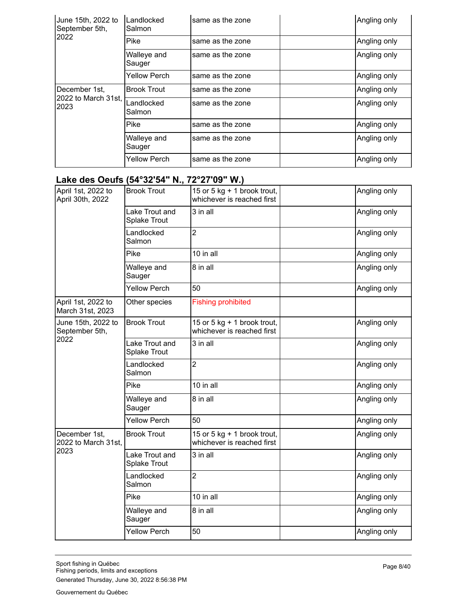| June 15th, 2022 to<br>September 5th, | Landlocked<br>Salmon  | same as the zone | Angling only |
|--------------------------------------|-----------------------|------------------|--------------|
| 2022                                 | Pike                  | same as the zone | Angling only |
|                                      | Walleye and<br>Sauger | same as the zone | Angling only |
|                                      | <b>Yellow Perch</b>   | same as the zone | Angling only |
| December 1st,                        | <b>Brook Trout</b>    | same as the zone | Angling only |
| 2022 to March 31st,<br>2023          | Landlocked<br>Salmon  | same as the zone | Angling only |
|                                      | Pike                  | same as the zone | Angling only |
|                                      | Walleye and<br>Sauger | same as the zone | Angling only |
|                                      | <b>Yellow Perch</b>   | same as the zone | Angling only |

#### **Lake des Oeufs (54°32'54" N., 72°27'09" W.)**

| April 1st, 2022 to<br>April 30th, 2022       | <b>Brook Trout</b>                    | 15 or 5 kg + 1 brook trout,<br>whichever is reached first   | Angling only |
|----------------------------------------------|---------------------------------------|-------------------------------------------------------------|--------------|
|                                              | Lake Trout and<br>Splake Trout        | 3 in all                                                    | Angling only |
|                                              | Landlocked<br>Salmon                  | $\overline{2}$                                              | Angling only |
|                                              | Pike                                  | 10 in all                                                   | Angling only |
|                                              | Walleye and<br>Sauger                 | 8 in all                                                    | Angling only |
|                                              | <b>Yellow Perch</b>                   | 50                                                          | Angling only |
| April 1st, 2022 to<br>March 31st, 2023       | Other species                         | <b>Fishing prohibited</b>                                   |              |
| June 15th, 2022 to<br>September 5th,         | <b>Brook Trout</b>                    | 15 or 5 kg + 1 brook trout,<br>whichever is reached first   | Angling only |
| 2022                                         | Lake Trout and<br><b>Splake Trout</b> | 3 in all                                                    | Angling only |
|                                              | Landlocked<br>Salmon                  | $\overline{2}$                                              | Angling only |
|                                              | Pike                                  | 10 in all                                                   | Angling only |
|                                              | Walleye and<br>Sauger                 | 8 in all                                                    | Angling only |
|                                              | <b>Yellow Perch</b>                   | 50                                                          | Angling only |
| December 1st,<br>2022 to March 31st,<br>2023 | <b>Brook Trout</b>                    | 15 or 5 kg $+$ 1 brook trout,<br>whichever is reached first | Angling only |
|                                              | Lake Trout and<br><b>Splake Trout</b> | 3 in all                                                    | Angling only |
|                                              | Landlocked<br>Salmon                  | $\overline{2}$                                              | Angling only |
|                                              | Pike                                  | 10 in all                                                   | Angling only |
|                                              | Walleye and<br>Sauger                 | 8 in all                                                    | Angling only |
|                                              | <b>Yellow Perch</b>                   | 50                                                          | Angling only |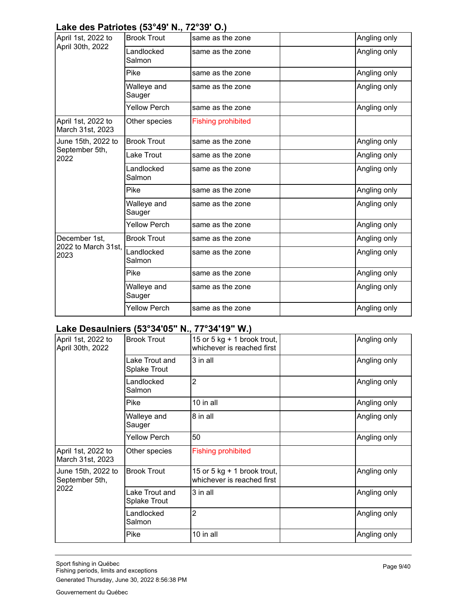#### **Lake des Patriotes (53°49' N., 72°39' O.)**

| April 1st, 2022 to                     | <b>Brook Trout</b>    | same as the zone          | Angling only |
|----------------------------------------|-----------------------|---------------------------|--------------|
| April 30th, 2022                       | Landlocked<br>Salmon  | same as the zone          | Angling only |
|                                        | Pike                  | same as the zone          | Angling only |
|                                        | Walleye and<br>Sauger | same as the zone          | Angling only |
|                                        | Yellow Perch          | same as the zone          | Angling only |
| April 1st, 2022 to<br>March 31st, 2023 | Other species         | <b>Fishing prohibited</b> |              |
| June 15th, 2022 to                     | <b>Brook Trout</b>    | same as the zone          | Angling only |
| September 5th,<br>2022                 | Lake Trout            | same as the zone          | Angling only |
|                                        | Landlocked<br>Salmon  | same as the zone          | Angling only |
|                                        | Pike                  | same as the zone          | Angling only |
|                                        | Walleye and<br>Sauger | same as the zone          | Angling only |
|                                        | <b>Yellow Perch</b>   | same as the zone          | Angling only |
| December 1st.                          | <b>Brook Trout</b>    | same as the zone          | Angling only |
| 2022 to March 31st,<br>2023            | Landlocked<br>Salmon  | same as the zone          | Angling only |
|                                        | Pike                  | same as the zone          | Angling only |
|                                        | Walleye and<br>Sauger | same as the zone          | Angling only |
|                                        | Yellow Perch          | same as the zone          | Angling only |

# **Lake Desaulniers (53°34'05" N., 77°34'19" W.)**

| April 1st, 2022 to<br>April 30th, 2022       | <b>Brook Trout</b>                    | 15 or 5 kg $+$ 1 brook trout,<br>whichever is reached first | Angling only |
|----------------------------------------------|---------------------------------------|-------------------------------------------------------------|--------------|
|                                              | Lake Trout and<br><b>Splake Trout</b> | 3 in all                                                    | Angling only |
|                                              | Landlocked<br>Salmon                  | 2                                                           | Angling only |
|                                              | Pike                                  | 10 in all                                                   | Angling only |
|                                              | Walleye and<br>Sauger                 | 8 in all                                                    | Angling only |
|                                              | Yellow Perch                          | 50                                                          | Angling only |
| April 1st, 2022 to<br>March 31st, 2023       | Other species                         | <b>Fishing prohibited</b>                                   |              |
| June 15th, 2022 to<br>September 5th,<br>2022 | <b>Brook Trout</b>                    | 15 or 5 kg $+$ 1 brook trout,<br>whichever is reached first | Angling only |
|                                              | Lake Trout and<br>Splake Trout        | 3 in all                                                    | Angling only |
|                                              | Landlocked<br>Salmon                  | 2                                                           | Angling only |
|                                              | Pike                                  | 10 in all                                                   | Angling only |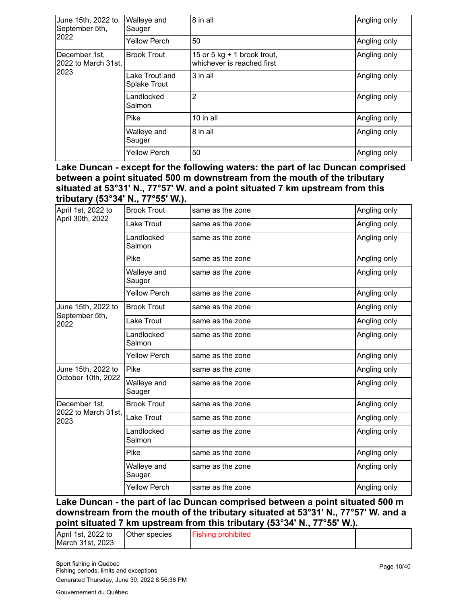| June 15th, 2022 to<br>September 5th, | Walleye and<br>Sauger                 | 8 in all                                                    | Angling only |
|--------------------------------------|---------------------------------------|-------------------------------------------------------------|--------------|
| 2022                                 | <b>Yellow Perch</b>                   | 50                                                          | Angling only |
| December 1st,<br>2022 to March 31st, | <b>Brook Trout</b>                    | 15 or 5 kg $+$ 1 brook trout,<br>whichever is reached first | Angling only |
| 2023                                 | Lake Trout and<br><b>Splake Trout</b> | 3 in all                                                    | Angling only |
|                                      | Landlocked<br>Salmon                  | 2                                                           | Angling only |
|                                      | Pike                                  | 10 in all                                                   | Angling only |
|                                      | Walleye and<br>Sauger                 | 8 in all                                                    | Angling only |
|                                      | <b>Yellow Perch</b>                   | 50                                                          | Angling only |

**Lake Duncan - except for the following waters: the part of lac Duncan comprised between a point situated 500 m downstream from the mouth of the tributary situated at 53°31' N., 77°57' W. and a point situated 7 km upstream from this tributary (53°34' N., 77°55' W.).**

| April 1st, 2022 to          | <b>Brook Trout</b>    | same as the zone | Angling only |
|-----------------------------|-----------------------|------------------|--------------|
| April 30th, 2022            | Lake Trout            | same as the zone | Angling only |
|                             | Landlocked<br>Salmon  | same as the zone | Angling only |
|                             | Pike                  | same as the zone | Angling only |
|                             | Walleye and<br>Sauger | same as the zone | Angling only |
|                             | <b>Yellow Perch</b>   | same as the zone | Angling only |
| June 15th, 2022 to          | <b>Brook Trout</b>    | same as the zone | Angling only |
| September 5th,<br>2022      | Lake Trout            | same as the zone | Angling only |
|                             | Landlocked<br>Salmon  | same as the zone | Angling only |
|                             | <b>Yellow Perch</b>   | same as the zone | Angling only |
| June 15th, 2022 to          | Pike                  | same as the zone | Angling only |
| October 10th, 2022          | Walleye and<br>Sauger | same as the zone | Angling only |
| December 1st.               | <b>Brook Trout</b>    | same as the zone | Angling only |
| 2022 to March 31st,<br>2023 | Lake Trout            | same as the zone | Angling only |
|                             | Landlocked<br>Salmon  | same as the zone | Angling only |
|                             | Pike                  | same as the zone | Angling only |
|                             | Walleye and<br>Sauger | same as the zone | Angling only |
|                             | <b>Yellow Perch</b>   | same as the zone | Angling only |

**Lake Duncan - the part of lac Duncan comprised between a point situated 500 m downstream from the mouth of the tributary situated at 53°31' N., 77°57' W. and a point situated 7 km upstream from this tributary (53°34' N., 77°55' W.).**

| April 1st, 2022 to<br>March 31st, 2023 | <b>Other species</b> | <b>Fishing prohibited</b> |  |
|----------------------------------------|----------------------|---------------------------|--|
|                                        |                      |                           |  |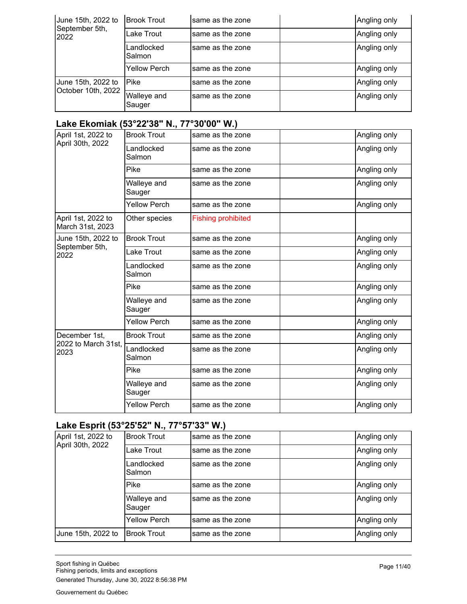| June 15th, 2022 to                       | <b>Brook Trout</b>    | same as the zone | Angling only |
|------------------------------------------|-----------------------|------------------|--------------|
| September 5th,<br>2022                   | Lake Trout            | same as the zone | Angling only |
|                                          | Landlocked<br>Salmon  | same as the zone | Angling only |
|                                          | Yellow Perch          | same as the zone | Angling only |
| June 15th, 2022 to<br>October 10th, 2022 | Pike                  | same as the zone | Angling only |
|                                          | Walleye and<br>Sauger | same as the zone | Angling only |

## **Lake Ekomiak (53°22'38" N., 77°30'00" W.)**

| <b>Brook Trout</b>    | same as the zone          | Angling only |
|-----------------------|---------------------------|--------------|
| Landlocked<br>Salmon  | same as the zone          | Angling only |
| Pike                  | same as the zone          | Angling only |
| Walleye and<br>Sauger | same as the zone          | Angling only |
| <b>Yellow Perch</b>   | same as the zone          | Angling only |
| Other species         | <b>Fishing prohibited</b> |              |
| <b>Brook Trout</b>    | same as the zone          | Angling only |
| Lake Trout            | same as the zone          | Angling only |
| Landlocked<br>Salmon  | same as the zone          | Angling only |
| Pike                  | same as the zone          | Angling only |
| Walleye and<br>Sauger | same as the zone          | Angling only |
| <b>Yellow Perch</b>   | same as the zone          | Angling only |
| <b>Brook Trout</b>    | same as the zone          | Angling only |
| Landlocked<br>Salmon  | same as the zone          | Angling only |
| Pike                  | same as the zone          | Angling only |
| Walleye and<br>Sauger | same as the zone          | Angling only |
| <b>Yellow Perch</b>   | same as the zone          | Angling only |
|                       |                           |              |

# **Lake Esprit (53°25'52" N., 77°57'33" W.)**

| April 1st, 2022 to | <b>Brook Trout</b>    | same as the zone | Angling only |
|--------------------|-----------------------|------------------|--------------|
| April 30th, 2022   | Lake Trout            | same as the zone | Angling only |
|                    | Landlocked<br>Salmon  | same as the zone | Angling only |
|                    | Pike                  | same as the zone | Angling only |
|                    | Walleye and<br>Sauger | same as the zone | Angling only |
|                    | Yellow Perch          | same as the zone | Angling only |
| June 15th, 2022 to | <b>Brook Trout</b>    | same as the zone | Angling only |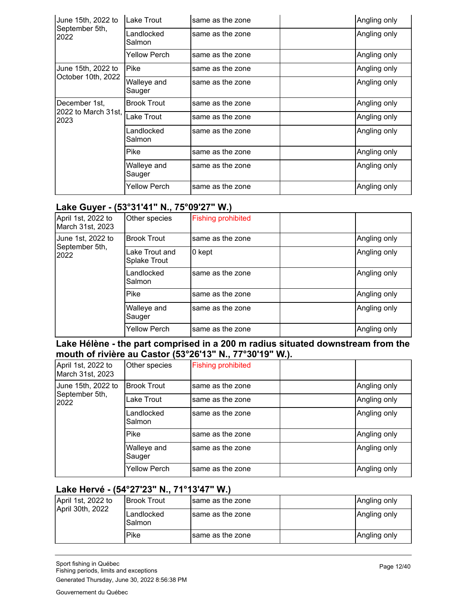| June 15th, 2022 to          | Lake Trout            | same as the zone | Angling only |
|-----------------------------|-----------------------|------------------|--------------|
| September 5th,<br>2022      | Landlocked<br>Salmon  | same as the zone | Angling only |
|                             | Yellow Perch          | same as the zone | Angling only |
| June 15th, 2022 to          | Pike                  | same as the zone | Angling only |
| October 10th, 2022          | Walleye and<br>Sauger | same as the zone | Angling only |
| December 1st,               | <b>Brook Trout</b>    | same as the zone | Angling only |
| 2022 to March 31st,<br>2023 | Lake Trout            | same as the zone | Angling only |
|                             | Landlocked<br>Salmon  | same as the zone | Angling only |
|                             | Pike                  | same as the zone | Angling only |
|                             | Walleye and<br>Sauger | same as the zone | Angling only |
|                             | Yellow Perch          | same as the zone | Angling only |

#### **Lake Guyer - (53°31'41" N., 75°09'27" W.)**

| April 1st, 2022 to<br>March 31st, 2023 | Other species                  | <b>Fishing prohibited</b> |  |              |
|----------------------------------------|--------------------------------|---------------------------|--|--------------|
| June 1st, 2022 to                      | <b>Brook Trout</b>             | same as the zone          |  | Angling only |
| September 5th,<br>2022                 | Lake Trout and<br>Splake Trout | 0 kept                    |  | Angling only |
|                                        | Landlocked<br>Salmon           | same as the zone          |  | Angling only |
|                                        | Pike                           | same as the zone          |  | Angling only |
|                                        | Walleye and<br>Sauger          | same as the zone          |  | Angling only |
|                                        | <b>Yellow Perch</b>            | same as the zone          |  | Angling only |

**Lake Hélène - the part comprised in a 200 m radius situated downstream from the mouth of rivière au Castor (53°26'13" N., 77°30'19" W.).**

| April 1st, 2022 to<br>March 31st, 2023 | Other species         | <b>Fishing prohibited</b> |              |
|----------------------------------------|-----------------------|---------------------------|--------------|
| June 15th, 2022 to                     | <b>Brook Trout</b>    | same as the zone          | Angling only |
| September 5th,<br> 2022                | Lake Trout            | same as the zone          | Angling only |
|                                        | Landlocked<br>Salmon  | same as the zone          | Angling only |
|                                        | Pike                  | same as the zone          | Angling only |
|                                        | Walleye and<br>Sauger | same as the zone          | Angling only |
|                                        | <b>Yellow Perch</b>   | same as the zone          | Angling only |

## **Lake Hervé - (54°27'23" N., 71°13'47" W.)**

| April 1st, 2022 to<br>April 30th, 2022 | IBrook Trout         | Isame as the zone | Angling only |
|----------------------------------------|----------------------|-------------------|--------------|
|                                        | Landlocked<br>Salmon | Isame as the zone | Angling only |
|                                        | Pike                 | Isame as the zone | Angling only |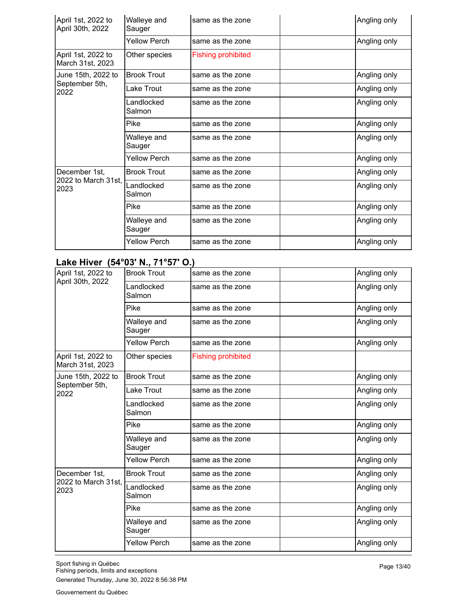| April 1st, 2022 to<br>April 30th, 2022 | Walleye and<br>Sauger | same as the zone          | Angling only |
|----------------------------------------|-----------------------|---------------------------|--------------|
|                                        | <b>Yellow Perch</b>   | same as the zone          | Angling only |
| April 1st, 2022 to<br>March 31st, 2023 | Other species         | <b>Fishing prohibited</b> |              |
| June 15th, 2022 to                     | <b>Brook Trout</b>    | same as the zone          | Angling only |
| September 5th,<br>2022                 | Lake Trout            | same as the zone          | Angling only |
|                                        | Landlocked<br>Salmon  | same as the zone          | Angling only |
|                                        | Pike                  | same as the zone          | Angling only |
|                                        | Walleye and<br>Sauger | same as the zone          | Angling only |
|                                        | <b>Yellow Perch</b>   | same as the zone          | Angling only |
| December 1st,                          | <b>Brook Trout</b>    | same as the zone          | Angling only |
| 2022 to March 31st,<br>2023            | Landlocked<br>Salmon  | same as the zone          | Angling only |
|                                        | Pike                  | same as the zone          | Angling only |
|                                        | Walleye and<br>Sauger | same as the zone          | Angling only |
|                                        | <b>Yellow Perch</b>   | same as the zone          | Angling only |

## **Lake Hiver (54°03' N., 71°57' O.)**

| April 1st, 2022 to                     | <b>Brook Trout</b>    | same as the zone          | Angling only |
|----------------------------------------|-----------------------|---------------------------|--------------|
| April 30th, 2022                       | Landlocked<br>Salmon  | same as the zone          | Angling only |
|                                        | Pike                  | same as the zone          | Angling only |
|                                        | Walleye and<br>Sauger | same as the zone          | Angling only |
|                                        | Yellow Perch          | same as the zone          | Angling only |
| April 1st, 2022 to<br>March 31st, 2023 | Other species         | <b>Fishing prohibited</b> |              |
| June 15th, 2022 to                     | <b>Brook Trout</b>    | same as the zone          | Angling only |
| September 5th,<br>2022                 | Lake Trout            | same as the zone          | Angling only |
|                                        | Landlocked<br>Salmon  | same as the zone          | Angling only |
|                                        | Pike                  | same as the zone          | Angling only |
|                                        | Walleye and<br>Sauger | same as the zone          | Angling only |
|                                        | <b>Yellow Perch</b>   | same as the zone          | Angling only |
| December 1st,                          | <b>Brook Trout</b>    | same as the zone          | Angling only |
| 2022 to March 31st,<br>2023            | Landlocked<br>Salmon  | same as the zone          | Angling only |
|                                        | Pike                  | same as the zone          | Angling only |
|                                        | Walleye and<br>Sauger | same as the zone          | Angling only |
|                                        | <b>Yellow Perch</b>   | same as the zone          | Angling only |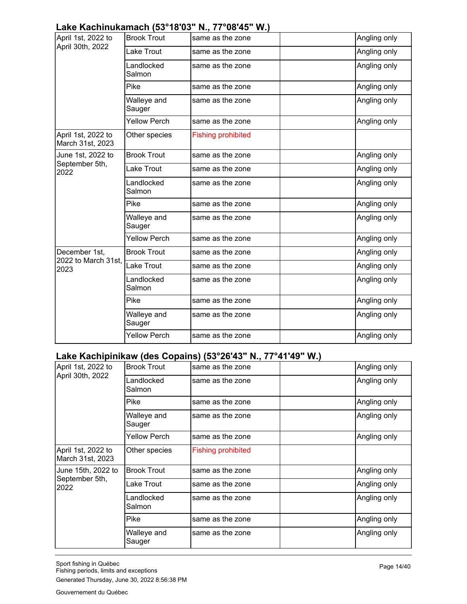# **Lake Kachinukamach (53°18'03" N., 77°08'45" W.)**

| April 1st, 2022 to<br>April 30th, 2022 | <b>Brook Trout</b>    | same as the zone          | Angling only |
|----------------------------------------|-----------------------|---------------------------|--------------|
|                                        | Lake Trout            | same as the zone          | Angling only |
|                                        | Landlocked<br>Salmon  | same as the zone          | Angling only |
|                                        | Pike                  | same as the zone          | Angling only |
|                                        | Walleye and<br>Sauger | same as the zone          | Angling only |
|                                        | <b>Yellow Perch</b>   | same as the zone          | Angling only |
| April 1st, 2022 to<br>March 31st, 2023 | Other species         | <b>Fishing prohibited</b> |              |
| June 1st, 2022 to                      | <b>Brook Trout</b>    | same as the zone          | Angling only |
| September 5th,<br>2022                 | Lake Trout            | same as the zone          | Angling only |
|                                        | Landlocked<br>Salmon  | same as the zone          | Angling only |
|                                        | Pike                  | same as the zone          | Angling only |
|                                        | Walleye and<br>Sauger | same as the zone          | Angling only |
|                                        | <b>Yellow Perch</b>   | same as the zone          | Angling only |
| December 1st,                          | <b>Brook Trout</b>    | same as the zone          | Angling only |
| 2022 to March 31st,<br>2023            | Lake Trout            | same as the zone          | Angling only |
|                                        | Landlocked<br>Salmon  | same as the zone          | Angling only |
|                                        | Pike                  | same as the zone          | Angling only |
|                                        | Walleye and<br>Sauger | same as the zone          | Angling only |
|                                        | <b>Yellow Perch</b>   | same as the zone          | Angling only |

## **Lake Kachipinikaw (des Copains) (53°26'43" N., 77°41'49" W.)**

| April 1st, 2022 to                     | <b>Brook Trout</b>    | same as the zone          | Angling only |
|----------------------------------------|-----------------------|---------------------------|--------------|
| April 30th, 2022                       | Landlocked<br>Salmon  | same as the zone          | Angling only |
|                                        | Pike                  | same as the zone          | Angling only |
|                                        | Walleye and<br>Sauger | same as the zone          | Angling only |
|                                        | Yellow Perch          | same as the zone          | Angling only |
| April 1st, 2022 to<br>March 31st, 2023 | Other species         | <b>Fishing prohibited</b> |              |
| June 15th, 2022 to                     | <b>Brook Trout</b>    | same as the zone          | Angling only |
| September 5th,<br>2022                 | Lake Trout            | same as the zone          | Angling only |
|                                        | Landlocked<br>Salmon  | same as the zone          | Angling only |
|                                        | Pike                  | same as the zone          | Angling only |
|                                        | Walleye and<br>Sauger | same as the zone          | Angling only |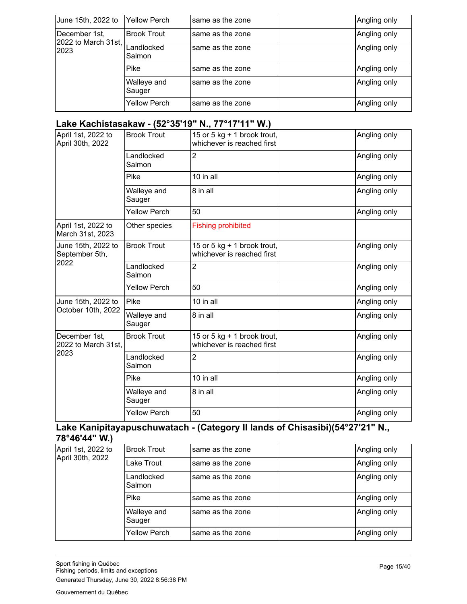| June 15th, 2022 to          | <b>Yellow Perch</b>   | same as the zone | Angling only |
|-----------------------------|-----------------------|------------------|--------------|
| December 1st,               | <b>Brook Trout</b>    | same as the zone | Angling only |
| 2022 to March 31st,<br>2023 | Landlocked<br>Salmon  | same as the zone | Angling only |
|                             | Pike                  | same as the zone | Angling only |
|                             | Walleye and<br>Sauger | same as the zone | Angling only |
|                             | <b>Yellow Perch</b>   | same as the zone | Angling only |

## **Lake Kachistasakaw - (52°35'19" N., 77°17'11" W.)**

| April 1st, 2022 to<br>April 30th, 2022       | <b>Brook Trout</b>    | 15 or 5 kg + 1 brook trout,<br>whichever is reached first | Angling only |
|----------------------------------------------|-----------------------|-----------------------------------------------------------|--------------|
|                                              | Landlocked<br>Salmon  | 2                                                         | Angling only |
|                                              | Pike                  | 10 in all                                                 | Angling only |
|                                              | Walleye and<br>Sauger | 8 in all                                                  | Angling only |
|                                              | <b>Yellow Perch</b>   | 50                                                        | Angling only |
| April 1st, 2022 to<br>March 31st, 2023       | Other species         | <b>Fishing prohibited</b>                                 |              |
| June 15th, 2022 to<br>September 5th,         | <b>Brook Trout</b>    | 15 or 5 kg + 1 brook trout,<br>whichever is reached first | Angling only |
| 2022                                         | Landlocked<br>Salmon  | 2                                                         | Angling only |
|                                              | <b>Yellow Perch</b>   | 50                                                        | Angling only |
| June 15th, 2022 to                           | Pike                  | 10 in all                                                 | Angling only |
| October 10th, 2022                           | Walleye and<br>Sauger | 8 in all                                                  | Angling only |
| December 1st,<br>2022 to March 31st,<br>2023 | <b>Brook Trout</b>    | 15 or 5 kg + 1 brook trout,<br>whichever is reached first | Angling only |
|                                              | Landlocked<br>Salmon  | 2                                                         | Angling only |
|                                              | Pike                  | 10 in all                                                 | Angling only |
|                                              | Walleye and<br>Sauger | 8 in all                                                  | Angling only |
|                                              | <b>Yellow Perch</b>   | 50                                                        | Angling only |

#### **Lake Kanipitayapuschuwatach - (Category II lands of Chisasibi)(54°27'21" N., 78°46'44" W.)**

| April 1st, 2022 to | <b>Brook Trout</b>    | same as the zone | Angling only |
|--------------------|-----------------------|------------------|--------------|
| April 30th, 2022   | Lake Trout            | same as the zone | Angling only |
|                    | Landlocked<br>Salmon  | same as the zone | Angling only |
|                    | Pike                  | same as the zone | Angling only |
|                    | Walleye and<br>Sauger | same as the zone | Angling only |
|                    | <b>Yellow Perch</b>   | same as the zone | Angling only |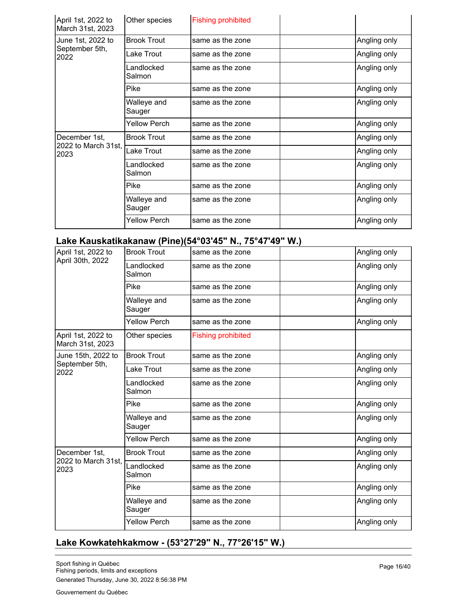| April 1st, 2022 to<br>March 31st, 2023 | Other species         | <b>Fishing prohibited</b> |              |
|----------------------------------------|-----------------------|---------------------------|--------------|
| June 1st, 2022 to                      | <b>Brook Trout</b>    | same as the zone          | Angling only |
| September 5th,<br>2022                 | Lake Trout            | same as the zone          | Angling only |
|                                        | Landlocked<br>Salmon  | same as the zone          | Angling only |
|                                        | Pike                  | same as the zone          | Angling only |
|                                        | Walleye and<br>Sauger | same as the zone          | Angling only |
|                                        | Yellow Perch          | same as the zone          | Angling only |
| December 1st,                          | <b>Brook Trout</b>    | same as the zone          | Angling only |
| 2022 to March 31st,<br>2023            | Lake Trout            | same as the zone          | Angling only |
|                                        | Landlocked<br>Salmon  | same as the zone          | Angling only |
|                                        | Pike                  | same as the zone          | Angling only |
|                                        | Walleye and<br>Sauger | same as the zone          | Angling only |
|                                        | Yellow Perch          | same as the zone          | Angling only |

### **Lake Kauskatikakanaw (Pine)(54°03'45" N., 75°47'49" W.)**

| April 1st, 2022 to                     | <b>Brook Trout</b>    | same as the zone          | Angling only |
|----------------------------------------|-----------------------|---------------------------|--------------|
| April 30th, 2022                       | Landlocked<br>Salmon  | same as the zone          | Angling only |
|                                        | Pike                  | same as the zone          | Angling only |
|                                        | Walleye and<br>Sauger | same as the zone          | Angling only |
|                                        | <b>Yellow Perch</b>   | same as the zone          | Angling only |
| April 1st, 2022 to<br>March 31st, 2023 | Other species         | <b>Fishing prohibited</b> |              |
| June 15th, 2022 to                     | <b>Brook Trout</b>    | same as the zone          | Angling only |
| September 5th,<br>2022                 | Lake Trout            | same as the zone          | Angling only |
|                                        | Landlocked<br>Salmon  | same as the zone          | Angling only |
|                                        | Pike                  | same as the zone          | Angling only |
|                                        | Walleye and<br>Sauger | same as the zone          | Angling only |
|                                        | <b>Yellow Perch</b>   | same as the zone          | Angling only |
| December 1st,                          | <b>Brook Trout</b>    | same as the zone          | Angling only |
| 2022 to March 31st,<br>2023            | Landlocked<br>Salmon  | same as the zone          | Angling only |
|                                        | Pike                  | same as the zone          | Angling only |
|                                        | Walleye and<br>Sauger | same as the zone          | Angling only |
|                                        | <b>Yellow Perch</b>   | same as the zone          | Angling only |

## **Lake Kowkatehkakmow - (53°27'29" N., 77°26'15" W.)**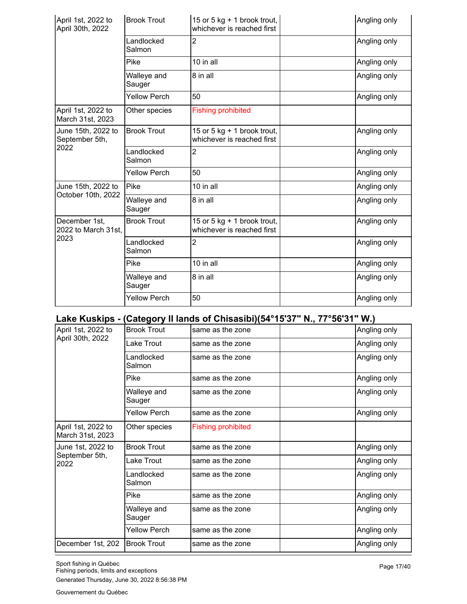| April 1st, 2022 to<br>April 30th, 2022       | <b>Brook Trout</b>    | 15 or 5 kg + 1 brook trout,<br>whichever is reached first   | Angling only |
|----------------------------------------------|-----------------------|-------------------------------------------------------------|--------------|
|                                              | Landlocked<br>Salmon  | 2                                                           | Angling only |
|                                              | Pike                  | 10 in all                                                   | Angling only |
|                                              | Walleye and<br>Sauger | 8 in all                                                    | Angling only |
|                                              | <b>Yellow Perch</b>   | 50                                                          | Angling only |
| April 1st, 2022 to<br>March 31st, 2023       | Other species         | <b>Fishing prohibited</b>                                   |              |
| June 15th, 2022 to<br>September 5th,         | <b>Brook Trout</b>    | 15 or 5 kg $+$ 1 brook trout,<br>whichever is reached first | Angling only |
| 2022                                         | Landlocked<br>Salmon  | 2                                                           | Angling only |
|                                              | <b>Yellow Perch</b>   | 50                                                          | Angling only |
| June 15th, 2022 to                           | Pike                  | 10 in all                                                   | Angling only |
| October 10th, 2022                           | Walleye and<br>Sauger | 8 in all                                                    | Angling only |
| December 1st,<br>2022 to March 31st,<br>2023 | <b>Brook Trout</b>    | 15 or 5 kg + 1 brook trout,<br>whichever is reached first   | Angling only |
|                                              | Landlocked<br>Salmon  | 2                                                           | Angling only |
|                                              | Pike                  | 10 in all                                                   | Angling only |
|                                              | Walleye and<br>Sauger | 8 in all                                                    | Angling only |
|                                              | <b>Yellow Perch</b>   | 50                                                          | Angling only |

# **Lake Kuskips - (Category II lands of Chisasibi)(54°15'37" N., 77°56'31" W.)**

| April 1st, 2022 to                     | <b>Brook Trout</b>    | same as the zone          | Angling only |
|----------------------------------------|-----------------------|---------------------------|--------------|
| April 30th, 2022                       | Lake Trout            | same as the zone          | Angling only |
|                                        | Landlocked<br>Salmon  | same as the zone          | Angling only |
|                                        | Pike                  | same as the zone          | Angling only |
|                                        | Walleye and<br>Sauger | same as the zone          | Angling only |
|                                        | <b>Yellow Perch</b>   | same as the zone          | Angling only |
| April 1st, 2022 to<br>March 31st, 2023 | Other species         | <b>Fishing prohibited</b> |              |
| June 1st, 2022 to                      | <b>Brook Trout</b>    | same as the zone          | Angling only |
| September 5th,<br>2022                 | Lake Trout            | same as the zone          | Angling only |
|                                        | Landlocked<br>Salmon  | same as the zone          | Angling only |
|                                        | Pike                  | same as the zone          | Angling only |
|                                        | Walleye and<br>Sauger | same as the zone          | Angling only |
|                                        | <b>Yellow Perch</b>   | same as the zone          | Angling only |
| December 1st, 202                      | <b>Brook Trout</b>    | same as the zone          | Angling only |
|                                        |                       |                           |              |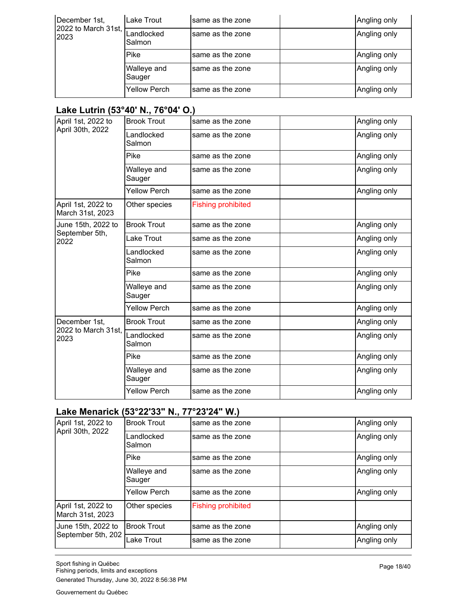| December 1st,<br>2022 to March 31st,<br>2023 | Lake Trout            | same as the zone | Angling only |
|----------------------------------------------|-----------------------|------------------|--------------|
|                                              | Landlocked<br>Salmon  | same as the zone | Angling only |
|                                              | Pike                  | same as the zone | Angling only |
|                                              | Walleye and<br>Sauger | same as the zone | Angling only |
|                                              | <b>Yellow Perch</b>   | same as the zone | Angling only |

## **Lake Lutrin (53°40' N., 76°04' O.)**

| April 1st, 2022 to                     | <b>Brook Trout</b>    | same as the zone          | Angling only |
|----------------------------------------|-----------------------|---------------------------|--------------|
| April 30th, 2022                       | Landlocked<br>Salmon  | same as the zone          | Angling only |
|                                        | Pike                  | same as the zone          | Angling only |
|                                        | Walleye and<br>Sauger | same as the zone          | Angling only |
|                                        | <b>Yellow Perch</b>   | same as the zone          | Angling only |
| April 1st, 2022 to<br>March 31st, 2023 | Other species         | <b>Fishing prohibited</b> |              |
| June 15th, 2022 to                     | <b>Brook Trout</b>    | same as the zone          | Angling only |
| September 5th,<br>2022                 | Lake Trout            | same as the zone          | Angling only |
|                                        | Landlocked<br>Salmon  | same as the zone          | Angling only |
|                                        | Pike                  | same as the zone          | Angling only |
|                                        | Walleye and<br>Sauger | same as the zone          | Angling only |
|                                        | <b>Yellow Perch</b>   | same as the zone          | Angling only |
| December 1st,                          | <b>Brook Trout</b>    | same as the zone          | Angling only |
| 2022 to March 31st,<br>2023            | Landlocked<br>Salmon  | same as the zone          | Angling only |
|                                        | Pike                  | same as the zone          | Angling only |
|                                        | Walleye and<br>Sauger | same as the zone          | Angling only |
|                                        | <b>Yellow Perch</b>   | same as the zone          | Angling only |

# **Lake Menarick (53°22'33" N., 77°23'24" W.)**

| April 1st, 2022 to<br>April 30th, 2022 | <b>Brook Trout</b>    | same as the zone          | Angling only |
|----------------------------------------|-----------------------|---------------------------|--------------|
|                                        | Landlocked<br>Salmon  | same as the zone          | Angling only |
|                                        | Pike                  | same as the zone          | Angling only |
|                                        | Walleye and<br>Sauger | same as the zone          | Angling only |
|                                        | <b>Yellow Perch</b>   | same as the zone          | Angling only |
| April 1st, 2022 to<br>March 31st, 2023 | Other species         | <b>Fishing prohibited</b> |              |
| June 15th, 2022 to                     | <b>Brook Trout</b>    | same as the zone          | Angling only |
| September 5th, 202                     | Lake Trout            | same as the zone          | Angling only |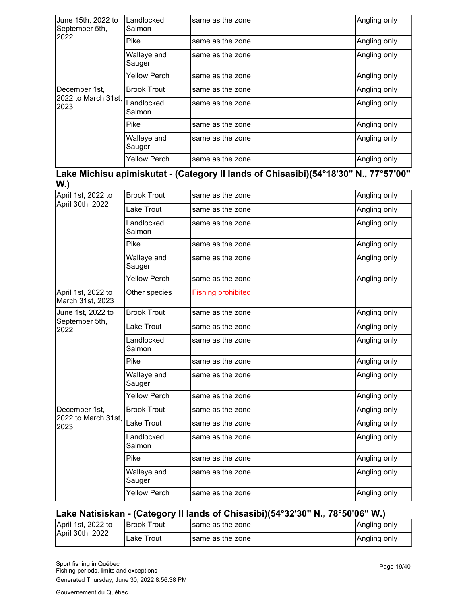| June 15th, 2022 to<br>September 5th, | Landlocked<br>Salmon  | same as the zone | Angling only |
|--------------------------------------|-----------------------|------------------|--------------|
| 2022                                 | Pike                  | same as the zone | Angling only |
|                                      | Walleye and<br>Sauger | same as the zone | Angling only |
|                                      | <b>Yellow Perch</b>   | same as the zone | Angling only |
| December 1st,                        | <b>Brook Trout</b>    | same as the zone | Angling only |
| 2022 to March 31st,<br>2023          | Landlocked<br>Salmon  | same as the zone | Angling only |
|                                      | Pike                  | same as the zone | Angling only |
|                                      | Walleye and<br>Sauger | same as the zone | Angling only |
|                                      | <b>Yellow Perch</b>   | same as the zone | Angling only |

**Lake Michisu apimiskutat - (Category II lands of Chisasibi)(54°18'30" N., 77°57'00" W.)**

| April 1st, 2022 to                     | <b>Brook Trout</b>    | same as the zone          | Angling only |
|----------------------------------------|-----------------------|---------------------------|--------------|
| April 30th, 2022                       | Lake Trout            | same as the zone          | Angling only |
|                                        | Landlocked<br>Salmon  | same as the zone          | Angling only |
|                                        | Pike                  | same as the zone          | Angling only |
|                                        | Walleye and<br>Sauger | same as the zone          | Angling only |
|                                        | <b>Yellow Perch</b>   | same as the zone          | Angling only |
| April 1st, 2022 to<br>March 31st, 2023 | Other species         | <b>Fishing prohibited</b> |              |
| June 1st, 2022 to                      | <b>Brook Trout</b>    | same as the zone          | Angling only |
| September 5th,<br>2022                 | Lake Trout            | same as the zone          | Angling only |
|                                        | Landlocked<br>Salmon  | same as the zone          | Angling only |
|                                        | Pike                  | same as the zone          | Angling only |
|                                        | Walleye and<br>Sauger | same as the zone          | Angling only |
|                                        | <b>Yellow Perch</b>   | same as the zone          | Angling only |
| December 1st,                          | <b>Brook Trout</b>    | same as the zone          | Angling only |
| 2022 to March 31st.<br>2023            | Lake Trout            | same as the zone          | Angling only |
|                                        | Landlocked<br>Salmon  | same as the zone          | Angling only |
|                                        | Pike                  | same as the zone          | Angling only |
|                                        | Walleye and<br>Sauger | same as the zone          | Angling only |
|                                        | <b>Yellow Perch</b>   | same as the zone          | Angling only |

#### **Lake Natisiskan - (Category II lands of Chisasibi)(54°32'30" N., 78°50'06" W.)**

| April 1st, 2022 to<br>April 30th, 2022 | <b>Brook Trout</b> | Isame as the zone | Angling only |
|----------------------------------------|--------------------|-------------------|--------------|
|                                        | Trout<br>Lake      | Isame as the zone | Angling only |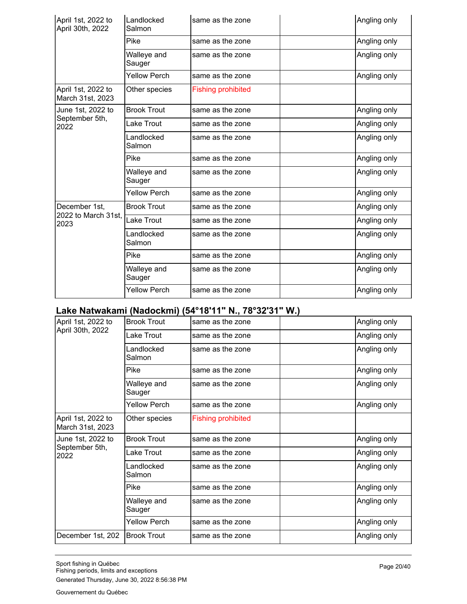| April 1st, 2022 to<br>April 30th, 2022 | Landlocked<br>Salmon  | same as the zone          | Angling only |
|----------------------------------------|-----------------------|---------------------------|--------------|
|                                        | Pike                  | same as the zone          | Angling only |
|                                        | Walleye and<br>Sauger | same as the zone          | Angling only |
|                                        | <b>Yellow Perch</b>   | same as the zone          | Angling only |
| April 1st, 2022 to<br>March 31st, 2023 | Other species         | <b>Fishing prohibited</b> |              |
| June 1st, 2022 to                      | <b>Brook Trout</b>    | same as the zone          | Angling only |
| September 5th,<br>2022                 | Lake Trout            | same as the zone          | Angling only |
|                                        | Landlocked<br>Salmon  | same as the zone          | Angling only |
|                                        | Pike                  | same as the zone          | Angling only |
|                                        | Walleye and<br>Sauger | same as the zone          | Angling only |
|                                        | <b>Yellow Perch</b>   | same as the zone          | Angling only |
| December 1st.                          | <b>Brook Trout</b>    | same as the zone          | Angling only |
| 2022 to March 31st.<br>2023            | Lake Trout            | same as the zone          | Angling only |
|                                        | Landlocked<br>Salmon  | same as the zone          | Angling only |
|                                        | Pike                  | same as the zone          | Angling only |
|                                        | Walleye and<br>Sauger | same as the zone          | Angling only |
|                                        | <b>Yellow Perch</b>   | same as the zone          | Angling only |

### **Lake Natwakami (Nadockmi) (54°18'11" N., 78°32'31" W.)**

| April 1st, 2022 to                     | <b>Brook Trout</b>    | same as the zone          | Angling only |
|----------------------------------------|-----------------------|---------------------------|--------------|
| April 30th, 2022                       | Lake Trout            | same as the zone          | Angling only |
|                                        | Landlocked<br>Salmon  | same as the zone          | Angling only |
|                                        | Pike                  | same as the zone          | Angling only |
|                                        | Walleye and<br>Sauger | same as the zone          | Angling only |
|                                        | <b>Yellow Perch</b>   | same as the zone          | Angling only |
| April 1st, 2022 to<br>March 31st, 2023 | Other species         | <b>Fishing prohibited</b> |              |
| June 1st, 2022 to                      | <b>Brook Trout</b>    | same as the zone          | Angling only |
| September 5th,<br>2022                 | Lake Trout            | same as the zone          | Angling only |
|                                        | Landlocked<br>Salmon  | same as the zone          | Angling only |
|                                        | Pike                  | same as the zone          | Angling only |
|                                        | Walleye and<br>Sauger | same as the zone          | Angling only |
|                                        | <b>Yellow Perch</b>   | same as the zone          | Angling only |
| December 1st, 202                      | <b>Brook Trout</b>    | same as the zone          | Angling only |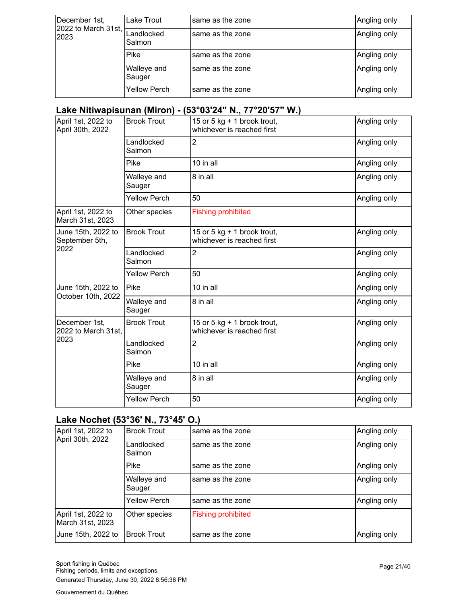| December 1st,               | Lake Trout            | same as the zone | Angling only |
|-----------------------------|-----------------------|------------------|--------------|
| 2022 to March 31st,<br>2023 | Landlocked<br>Salmon  | same as the zone | Angling only |
|                             | Pike                  | same as the zone | Angling only |
|                             | Walleye and<br>Sauger | same as the zone | Angling only |
|                             | <b>Yellow Perch</b>   | same as the zone | Angling only |

#### **Lake Nitiwapisunan (Miron) - (53°03'24" N., 77°20'57" W.)**

| April 1st, 2022 to<br>April 30th, 2022       | <b>Brook Trout</b>    | 15 or 5 kg + 1 brook trout,<br>whichever is reached first | Angling only |
|----------------------------------------------|-----------------------|-----------------------------------------------------------|--------------|
|                                              | Landlocked<br>Salmon  | 2                                                         | Angling only |
|                                              | Pike                  | 10 in all                                                 | Angling only |
|                                              | Walleye and<br>Sauger | 8 in all                                                  | Angling only |
|                                              | <b>Yellow Perch</b>   | 50                                                        | Angling only |
| April 1st, 2022 to<br>March 31st, 2023       | Other species         | <b>Fishing prohibited</b>                                 |              |
| June 15th, 2022 to<br>September 5th,         | <b>Brook Trout</b>    | 15 or 5 kg + 1 brook trout,<br>whichever is reached first | Angling only |
| 2022                                         | Landlocked<br>Salmon  | 2                                                         | Angling only |
|                                              | <b>Yellow Perch</b>   | 50                                                        | Angling only |
| June 15th, 2022 to                           | Pike                  | 10 in all                                                 | Angling only |
| October 10th, 2022                           | Walleye and<br>Sauger | 8 in all                                                  | Angling only |
| December 1st,<br>2022 to March 31st,<br>2023 | <b>Brook Trout</b>    | 15 or 5 kg + 1 brook trout,<br>whichever is reached first | Angling only |
|                                              | Landlocked<br>Salmon  | 2                                                         | Angling only |
|                                              | Pike                  | 10 in all                                                 | Angling only |
|                                              | Walleye and<br>Sauger | 8 in all                                                  | Angling only |
|                                              | <b>Yellow Perch</b>   | 50                                                        | Angling only |

#### **Lake Nochet (53°36' N., 73°45' O.)**

| April 1st, 2022 to<br>April 30th, 2022 | <b>Brook Trout</b>    | same as the zone          | Angling only |
|----------------------------------------|-----------------------|---------------------------|--------------|
|                                        | Landlocked<br>Salmon  | same as the zone          | Angling only |
|                                        | Pike                  | same as the zone          | Angling only |
|                                        | Walleye and<br>Sauger | same as the zone          | Angling only |
|                                        | <b>Yellow Perch</b>   | same as the zone          | Angling only |
| April 1st, 2022 to<br>March 31st, 2023 | Other species         | <b>Fishing prohibited</b> |              |
| June 15th, 2022 to                     | <b>Brook Trout</b>    | same as the zone          | Angling only |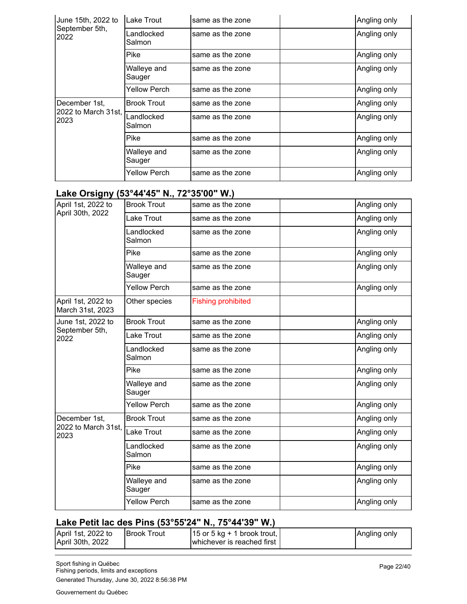| June 15th, 2022 to          | Lake Trout            | same as the zone | Angling only |
|-----------------------------|-----------------------|------------------|--------------|
| September 5th,<br>2022      | Landlocked<br>Salmon  | same as the zone | Angling only |
|                             | Pike                  | same as the zone | Angling only |
|                             | Walleye and<br>Sauger | same as the zone | Angling only |
|                             | Yellow Perch          | same as the zone | Angling only |
| December 1st,               | <b>Brook Trout</b>    | same as the zone | Angling only |
| 2022 to March 31st,<br>2023 | Landlocked<br>Salmon  | same as the zone | Angling only |
|                             | Pike                  | same as the zone | Angling only |
|                             | Walleye and<br>Sauger | same as the zone | Angling only |
|                             | Yellow Perch          | same as the zone | Angling only |

#### **Lake Orsigny (53°44'45" N., 72°35'00" W.)**

| -י ניי                                 |                       |                           |              |
|----------------------------------------|-----------------------|---------------------------|--------------|
| April 1st, 2022 to                     | <b>Brook Trout</b>    | same as the zone          | Angling only |
| April 30th, 2022                       | Lake Trout            | same as the zone          | Angling only |
|                                        | Landlocked<br>Salmon  | same as the zone          | Angling only |
|                                        | Pike                  | same as the zone          | Angling only |
|                                        | Walleye and<br>Sauger | same as the zone          | Angling only |
|                                        | <b>Yellow Perch</b>   | same as the zone          | Angling only |
| April 1st, 2022 to<br>March 31st, 2023 | Other species         | <b>Fishing prohibited</b> |              |
| June 1st, 2022 to                      | <b>Brook Trout</b>    | same as the zone          | Angling only |
| September 5th,<br>2022                 | Lake Trout            | same as the zone          | Angling only |
|                                        | Landlocked<br>Salmon  | same as the zone          | Angling only |
|                                        | Pike                  | same as the zone          | Angling only |
|                                        | Walleye and<br>Sauger | same as the zone          | Angling only |
|                                        | <b>Yellow Perch</b>   | same as the zone          | Angling only |
| December 1st.                          | <b>Brook Trout</b>    | same as the zone          | Angling only |
| 2022 to March 31st,<br>2023            | Lake Trout            | same as the zone          | Angling only |
|                                        | Landlocked<br>Salmon  | same as the zone          | Angling only |
|                                        | Pike                  | same as the zone          | Angling only |
|                                        | Walleye and<br>Sauger | same as the zone          | Angling only |
|                                        | <b>Yellow Perch</b>   | same as the zone          | Angling only |

## **Lake Petit lac des Pins (53°55'24" N., 75°44'39" W.)**

| April 1st, 2022 to<br>April 30th, 2022 | <b>IBrook Trout</b> | $\vert$ 15 or 5 kg + 1 brook trout, $\vert$<br>whichever is reached first | Angling only |
|----------------------------------------|---------------------|---------------------------------------------------------------------------|--------------|
|                                        |                     |                                                                           |              |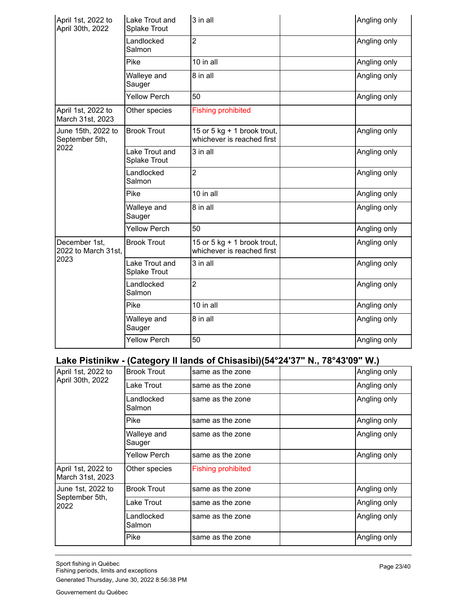| April 1st, 2022 to<br>April 30th, 2022 | Lake Trout and<br><b>Splake Trout</b> | 3 in all                                                  | Angling only |
|----------------------------------------|---------------------------------------|-----------------------------------------------------------|--------------|
|                                        | Landlocked<br>Salmon                  | $\overline{2}$                                            | Angling only |
|                                        | Pike                                  | 10 in all                                                 | Angling only |
|                                        | Walleye and<br>Sauger                 | 8 in all                                                  | Angling only |
|                                        | <b>Yellow Perch</b>                   | 50                                                        | Angling only |
| April 1st, 2022 to<br>March 31st, 2023 | Other species                         | <b>Fishing prohibited</b>                                 |              |
| June 15th, 2022 to<br>September 5th,   | <b>Brook Trout</b>                    | 15 or 5 kg + 1 brook trout,<br>whichever is reached first | Angling only |
| 2022                                   | Lake Trout and<br><b>Splake Trout</b> | 3 in all                                                  | Angling only |
|                                        | Landlocked<br>Salmon                  | $\overline{2}$                                            | Angling only |
|                                        | Pike                                  | 10 in all                                                 | Angling only |
|                                        | Walleye and<br>Sauger                 | 8 in all                                                  | Angling only |
|                                        | <b>Yellow Perch</b>                   | 50                                                        | Angling only |
| December 1st,<br>2022 to March 31st.   | <b>Brook Trout</b>                    | 15 or 5 kg + 1 brook trout,<br>whichever is reached first | Angling only |
| 2023                                   | Lake Trout and<br><b>Splake Trout</b> | 3 in all                                                  | Angling only |
|                                        | Landlocked<br>Salmon                  | $\overline{2}$                                            | Angling only |
|                                        | Pike                                  | 10 in all                                                 | Angling only |
|                                        | Walleye and<br>Sauger                 | 8 in all                                                  | Angling only |
|                                        | <b>Yellow Perch</b>                   | 50                                                        | Angling only |

#### **Lake Pistinikw - (Category II lands of Chisasibi)(54°24'37" N., 78°43'09" W.)**

| April 1st, 2022 to                     | <b>Brook Trout</b>    | same as the zone          | Angling only |
|----------------------------------------|-----------------------|---------------------------|--------------|
| April 30th, 2022                       | Lake Trout            | same as the zone          | Angling only |
|                                        | Landlocked<br>Salmon  | same as the zone          | Angling only |
|                                        | Pike                  | same as the zone          | Angling only |
|                                        | Walleye and<br>Sauger | same as the zone          | Angling only |
|                                        | Yellow Perch          | same as the zone          | Angling only |
| April 1st, 2022 to<br>March 31st, 2023 | Other species         | <b>Fishing prohibited</b> |              |
| June 1st, 2022 to                      | <b>Brook Trout</b>    | same as the zone          | Angling only |
| September 5th,<br>2022                 | Lake Trout            | same as the zone          | Angling only |
|                                        | Landlocked<br>Salmon  | same as the zone          | Angling only |
|                                        | Pike                  | same as the zone          | Angling only |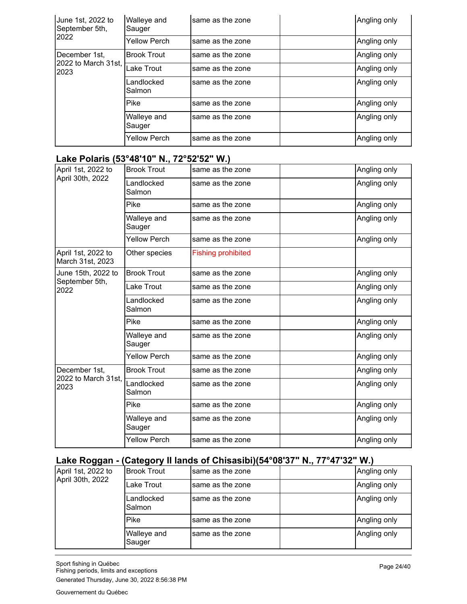| June 1st, 2022 to<br>September 5th, | Walleye and<br>Sauger | same as the zone | Angling only |
|-------------------------------------|-----------------------|------------------|--------------|
| 2022                                | <b>Yellow Perch</b>   | same as the zone | Angling only |
| December 1st,                       | <b>Brook Trout</b>    | same as the zone | Angling only |
| 2022 to March 31st,<br>2023         | Lake Trout            | same as the zone | Angling only |
|                                     | Landlocked<br>Salmon  | same as the zone | Angling only |
|                                     | Pike                  | same as the zone | Angling only |
|                                     | Walleye and<br>Sauger | same as the zone | Angling only |
|                                     | <b>Yellow Perch</b>   | same as the zone | Angling only |

# **Lake Polaris (53°48'10" N., 72°52'52" W.)**

| April 1st, 2022 to                     | <b>Brook Trout</b>    | same as the zone          | Angling only |
|----------------------------------------|-----------------------|---------------------------|--------------|
| April 30th, 2022                       | Landlocked<br>Salmon  | same as the zone          | Angling only |
|                                        | Pike                  | same as the zone          | Angling only |
|                                        | Walleye and<br>Sauger | same as the zone          | Angling only |
|                                        | Yellow Perch          | same as the zone          | Angling only |
| April 1st, 2022 to<br>March 31st, 2023 | Other species         | <b>Fishing prohibited</b> |              |
| June 15th, 2022 to                     | <b>Brook Trout</b>    | same as the zone          | Angling only |
| September 5th,<br>2022                 | Lake Trout            | same as the zone          | Angling only |
|                                        | Landlocked<br>Salmon  | same as the zone          | Angling only |
|                                        | Pike                  | same as the zone          | Angling only |
|                                        | Walleye and<br>Sauger | same as the zone          | Angling only |
|                                        | <b>Yellow Perch</b>   | same as the zone          | Angling only |
| December 1st,                          | <b>Brook Trout</b>    | same as the zone          | Angling only |
| 2022 to March 31st,<br>2023            | Landlocked<br>Salmon  | same as the zone          | Angling only |
|                                        | Pike                  | same as the zone          | Angling only |
|                                        | Walleye and<br>Sauger | same as the zone          | Angling only |
|                                        | <b>Yellow Perch</b>   | same as the zone          | Angling only |

# **Lake Roggan - (Category II lands of Chisasibi)(54°08'37" N., 77°47'32" W.)**

| April 1st, 2022 to<br>April 30th, 2022 | IBrook Trout          | Isame as the zone | Angling only |
|----------------------------------------|-----------------------|-------------------|--------------|
|                                        | Lake Trout            | same as the zone  | Angling only |
|                                        | Landlocked<br>Salmon  | same as the zone  | Angling only |
|                                        | Pike                  | same as the zone  | Angling only |
|                                        | Walleye and<br>Sauger | Isame as the zone | Angling only |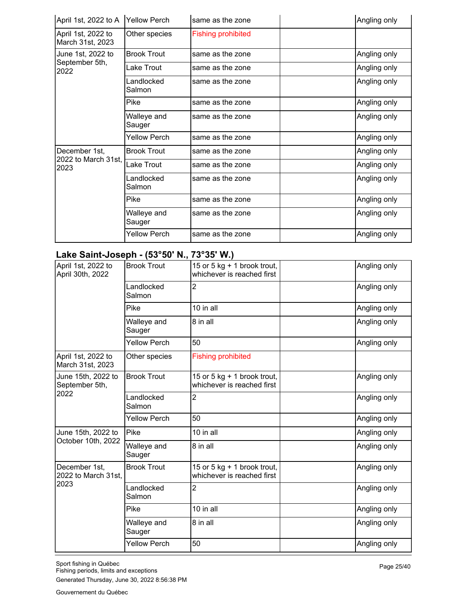| April 1st, 2022 to A                   | <b>Yellow Perch</b>   | same as the zone          | Angling only |
|----------------------------------------|-----------------------|---------------------------|--------------|
| April 1st, 2022 to<br>March 31st, 2023 | Other species         | <b>Fishing prohibited</b> |              |
| June 1st, 2022 to                      | <b>Brook Trout</b>    | same as the zone          | Angling only |
| September 5th,<br>2022                 | Lake Trout            | same as the zone          | Angling only |
|                                        | Landlocked<br>Salmon  | same as the zone          | Angling only |
|                                        | Pike                  | same as the zone          | Angling only |
|                                        | Walleye and<br>Sauger | same as the zone          | Angling only |
|                                        | <b>Yellow Perch</b>   | same as the zone          | Angling only |
| December 1st,                          | <b>Brook Trout</b>    | same as the zone          | Angling only |
| 2022 to March 31st,<br>2023            | Lake Trout            | same as the zone          | Angling only |
|                                        | Landlocked<br>Salmon  | same as the zone          | Angling only |
|                                        | Pike                  | same as the zone          | Angling only |
|                                        | Walleye and<br>Sauger | same as the zone          | Angling only |
|                                        | <b>Yellow Perch</b>   | same as the zone          | Angling only |

# **Lake Saint-Joseph - (53°50' N., 73°35' W.)**

| April 1st, 2022 to<br>April 30th, 2022       | <b>Brook Trout</b>    | 15 or 5 kg $+$ 1 brook trout,<br>whichever is reached first | Angling only |
|----------------------------------------------|-----------------------|-------------------------------------------------------------|--------------|
|                                              | Landlocked<br>Salmon  | $\overline{2}$                                              | Angling only |
|                                              | Pike                  | 10 in all                                                   | Angling only |
|                                              | Walleye and<br>Sauger | 8 in all                                                    | Angling only |
|                                              | <b>Yellow Perch</b>   | 50                                                          | Angling only |
| April 1st, 2022 to<br>March 31st, 2023       | Other species         | <b>Fishing prohibited</b>                                   |              |
| June 15th, 2022 to<br>September 5th,         | <b>Brook Trout</b>    | 15 or 5 kg $+$ 1 brook trout,<br>whichever is reached first | Angling only |
| 2022                                         | Landlocked<br>Salmon  | 2                                                           | Angling only |
|                                              | <b>Yellow Perch</b>   | 50                                                          | Angling only |
| June 15th, 2022 to                           | Pike                  | 10 in all                                                   | Angling only |
| October 10th, 2022                           | Walleye and<br>Sauger | 8 in all                                                    | Angling only |
| December 1st,<br>2022 to March 31st,<br>2023 | <b>Brook Trout</b>    | 15 or 5 kg + 1 brook trout,<br>whichever is reached first   | Angling only |
|                                              | Landlocked<br>Salmon  | $\overline{2}$                                              | Angling only |
|                                              | Pike                  | 10 in all                                                   | Angling only |
|                                              | Walleye and<br>Sauger | 8 in all                                                    | Angling only |
|                                              | <b>Yellow Perch</b>   | 50                                                          | Angling only |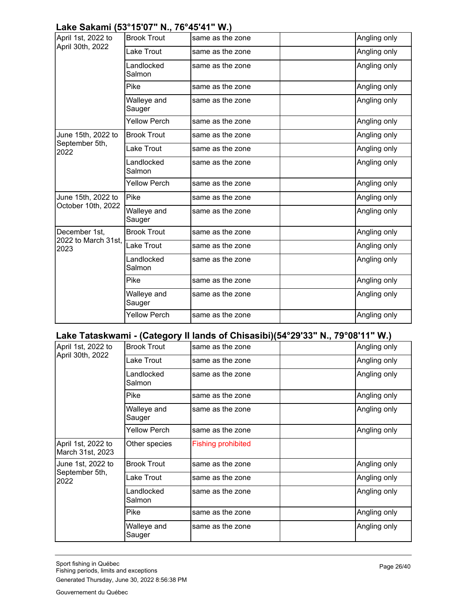# **Lake Sakami (53°15'07" N., 76°45'41" W.)**

| April 1st, 2022 to          | <b>Brook Trout</b>    | same as the zone | Angling only |
|-----------------------------|-----------------------|------------------|--------------|
| April 30th, 2022            | Lake Trout            | same as the zone | Angling only |
|                             | Landlocked<br>Salmon  | same as the zone | Angling only |
|                             | Pike                  | same as the zone | Angling only |
|                             | Walleye and<br>Sauger | same as the zone | Angling only |
|                             | <b>Yellow Perch</b>   | same as the zone | Angling only |
| June 15th, 2022 to          | <b>Brook Trout</b>    | same as the zone | Angling only |
| September 5th,<br>2022      | Lake Trout            | same as the zone | Angling only |
|                             | Landlocked<br>Salmon  | same as the zone | Angling only |
|                             | <b>Yellow Perch</b>   | same as the zone | Angling only |
| June 15th, 2022 to          | Pike                  | same as the zone | Angling only |
| October 10th, 2022          | Walleye and<br>Sauger | same as the zone | Angling only |
| December 1st.               | <b>Brook Trout</b>    | same as the zone | Angling only |
| 2022 to March 31st,<br>2023 | Lake Trout            | same as the zone | Angling only |
|                             | Landlocked<br>Salmon  | same as the zone | Angling only |
|                             | Pike                  | same as the zone | Angling only |
|                             | Walleye and<br>Sauger | same as the zone | Angling only |
|                             | <b>Yellow Perch</b>   | same as the zone | Angling only |

#### **Lake Tataskwami - (Category II lands of Chisasibi)(54°29'33" N., 79°08'11" W.)**

| April 1st, 2022 to                     | <b>Brook Trout</b>    | same as the zone          | Angling only |
|----------------------------------------|-----------------------|---------------------------|--------------|
| April 30th, 2022                       | Lake Trout            | same as the zone          | Angling only |
|                                        | Landlocked<br>Salmon  | same as the zone          | Angling only |
|                                        | Pike                  | same as the zone          | Angling only |
|                                        | Walleye and<br>Sauger | same as the zone          | Angling only |
|                                        | <b>Yellow Perch</b>   | same as the zone          | Angling only |
| April 1st, 2022 to<br>March 31st, 2023 | Other species         | <b>Fishing prohibited</b> |              |
| June 1st, 2022 to                      | <b>Brook Trout</b>    | same as the zone          | Angling only |
| September 5th,<br>2022                 | Lake Trout            | same as the zone          | Angling only |
|                                        | Landlocked<br>Salmon  | same as the zone          | Angling only |
|                                        | Pike                  | same as the zone          | Angling only |
|                                        | Walleye and<br>Sauger | same as the zone          | Angling only |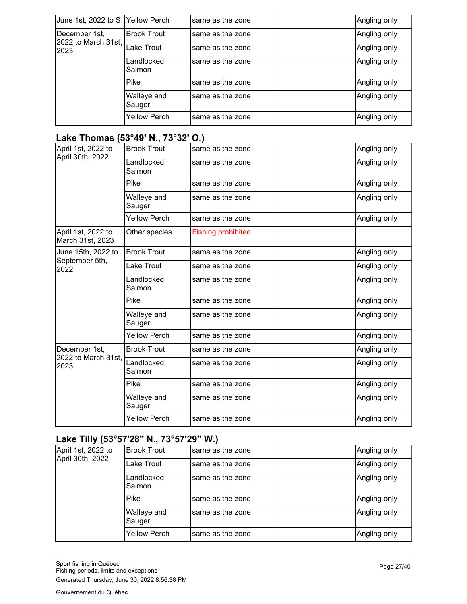| June 1st, 2022 to S Yellow Perch |                       | same as the zone | Angling only |
|----------------------------------|-----------------------|------------------|--------------|
| December 1st,                    | <b>Brook Trout</b>    | same as the zone | Angling only |
| 2022 to March 31st,<br>2023      | Lake Trout            | same as the zone | Angling only |
|                                  | Landlocked<br>Salmon  | same as the zone | Angling only |
|                                  | <b>Pike</b>           | same as the zone | Angling only |
|                                  | Walleye and<br>Sauger | same as the zone | Angling only |
|                                  | <b>Yellow Perch</b>   | same as the zone | Angling only |

# **Lake Thomas (53°49' N., 73°32' O.)**

| April 1st, 2022 to                     | <b>Brook Trout</b>    | same as the zone          | Angling only |
|----------------------------------------|-----------------------|---------------------------|--------------|
| April 30th, 2022                       | Landlocked<br>Salmon  | same as the zone          | Angling only |
|                                        | Pike                  | same as the zone          | Angling only |
|                                        | Walleye and<br>Sauger | same as the zone          | Angling only |
|                                        | <b>Yellow Perch</b>   | same as the zone          | Angling only |
| April 1st, 2022 to<br>March 31st, 2023 | Other species         | <b>Fishing prohibited</b> |              |
| June 15th, 2022 to                     | <b>Brook Trout</b>    | same as the zone          | Angling only |
| September 5th,<br>2022                 | Lake Trout            | same as the zone          | Angling only |
|                                        | Landlocked<br>Salmon  | same as the zone          | Angling only |
|                                        | Pike                  | same as the zone          | Angling only |
|                                        | Walleye and<br>Sauger | same as the zone          | Angling only |
|                                        | <b>Yellow Perch</b>   | same as the zone          | Angling only |
| December 1st,                          | <b>Brook Trout</b>    | same as the zone          | Angling only |
| 2022 to March 31st,<br>2023            | Landlocked<br>Salmon  | same as the zone          | Angling only |
|                                        | Pike                  | same as the zone          | Angling only |
|                                        | Walleye and<br>Sauger | same as the zone          | Angling only |
|                                        | <b>Yellow Perch</b>   | same as the zone          | Angling only |

# **Lake Tilly (53°57'28" N., 73°57'29" W.)**

| April 1st, 2022 to<br>April 30th, 2022 | <b>Brook Trout</b>    | same as the zone | Angling only |
|----------------------------------------|-----------------------|------------------|--------------|
|                                        | Lake Trout            | same as the zone | Angling only |
|                                        | Landlocked<br>Salmon  | same as the zone | Angling only |
|                                        | <b>Pike</b>           | same as the zone | Angling only |
|                                        | Walleye and<br>Sauger | same as the zone | Angling only |
|                                        | <b>Yellow Perch</b>   | same as the zone | Angling only |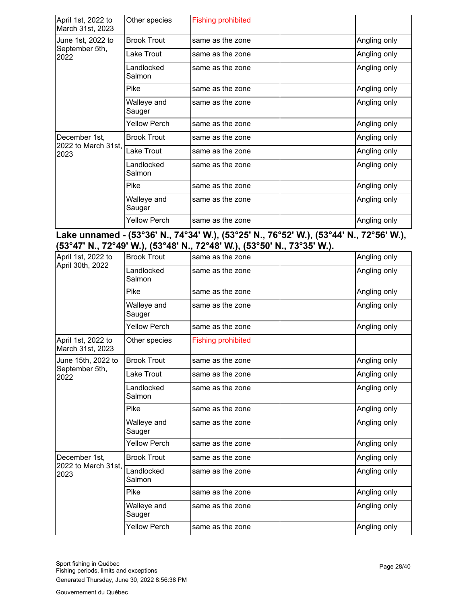| April 1st, 2022 to<br>March 31st, 2023 | Other species         | <b>Fishing prohibited</b> |              |
|----------------------------------------|-----------------------|---------------------------|--------------|
| June 1st, 2022 to                      | <b>Brook Trout</b>    | same as the zone          | Angling only |
| September 5th,<br>2022                 | Lake Trout            | same as the zone          | Angling only |
|                                        | _andlocked<br>Salmon  | same as the zone          | Angling only |
|                                        | Pike                  | same as the zone          | Angling only |
|                                        | Walleye and<br>Sauger | same as the zone          | Angling only |
|                                        | Yellow Perch          | same as the zone          | Angling only |
| December 1st,                          | <b>Brook Trout</b>    | same as the zone          | Angling only |
| 2022 to March 31st,<br>2023            | Lake Trout            | same as the zone          | Angling only |
|                                        | Landlocked<br>Salmon  | same as the zone          | Angling only |
|                                        | Pike                  | same as the zone          | Angling only |
|                                        | Walleye and<br>Sauger | same as the zone          | Angling only |
|                                        | Yellow Perch          | same as the zone          | Angling only |

#### **Lake unnamed - (53°36' N., 74°34' W.), (53°25' N., 76°52' W.), (53°44' N., 72°56' W.), (53°47' N., 72°49' W.), (53°48' N., 72°48' W.), (53°50' N., 73°35' W.).**

| April 1st, 2022 to                     | <b>Brook Trout</b>    | same as the zone          | Angling only |
|----------------------------------------|-----------------------|---------------------------|--------------|
| April 30th, 2022                       | Landlocked<br>Salmon  | same as the zone          | Angling only |
|                                        | <b>Pike</b>           | same as the zone          | Angling only |
|                                        | Walleye and<br>Sauger | same as the zone          | Angling only |
|                                        | <b>Yellow Perch</b>   | same as the zone          | Angling only |
| April 1st, 2022 to<br>March 31st, 2023 | Other species         | <b>Fishing prohibited</b> |              |
| June 15th, 2022 to                     | <b>Brook Trout</b>    | same as the zone          | Angling only |
| September 5th,<br>2022                 | Lake Trout            | same as the zone          | Angling only |
|                                        | Landlocked<br>Salmon  | same as the zone          | Angling only |
|                                        | Pike                  | same as the zone          | Angling only |
|                                        | Walleye and<br>Sauger | same as the zone          | Angling only |
|                                        | <b>Yellow Perch</b>   | same as the zone          | Angling only |
| December 1st,                          | <b>Brook Trout</b>    | same as the zone          | Angling only |
| 2022 to March 31st,<br>2023            | Landlocked<br>Salmon  | same as the zone          | Angling only |
|                                        | Pike                  | same as the zone          | Angling only |
|                                        | Walleye and<br>Sauger | same as the zone          | Angling only |
|                                        | <b>Yellow Perch</b>   | same as the zone          | Angling only |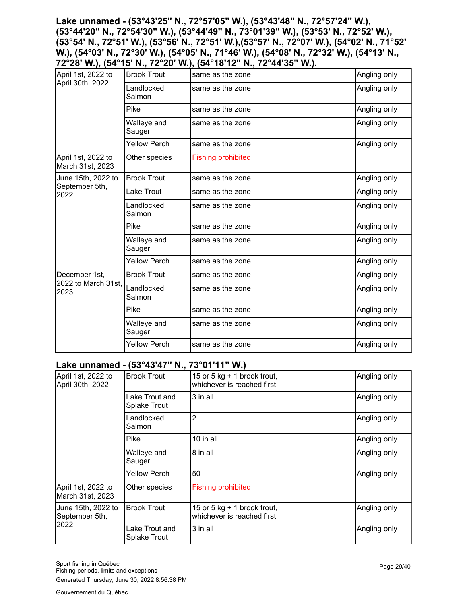**Lake unnamed - (53°43'25" N., 72°57'05" W.), (53°43'48" N., 72°57'24" W.), (53°44'20" N., 72°54'30" W.), (53°44'49" N., 73°01'39" W.), (53°53' N., 72°52' W.), (53°54' N., 72°51' W.), (53°56' N., 72°51' W.),(53°57' N., 72°07' W.), (54°02' N., 71°52' W.), (54°03' N., 72°30' W.), (54°05' N., 71°46' W.), (54°08' N., 72°32' W.), (54°13' N., 72°28' W.), (54°15' N., 72°20' W.), (54°18'12" N., 72°44'35" W.).**

| April 1st, 2022 to                     | <b>Brook Trout</b>    | same as the zone          | Angling only |
|----------------------------------------|-----------------------|---------------------------|--------------|
| April 30th, 2022                       | Landlocked<br>Salmon  | same as the zone          | Angling only |
|                                        | Pike                  | same as the zone          | Angling only |
|                                        | Walleye and<br>Sauger | same as the zone          | Angling only |
|                                        | <b>Yellow Perch</b>   | same as the zone          | Angling only |
| April 1st, 2022 to<br>March 31st, 2023 | Other species         | <b>Fishing prohibited</b> |              |
| June 15th, 2022 to                     | <b>Brook Trout</b>    | same as the zone          | Angling only |
| September 5th,<br>2022                 | Lake Trout            | same as the zone          | Angling only |
|                                        | Landlocked<br>Salmon  | same as the zone          | Angling only |
|                                        | Pike                  | same as the zone          | Angling only |
|                                        | Walleye and<br>Sauger | same as the zone          | Angling only |
|                                        | <b>Yellow Perch</b>   | same as the zone          | Angling only |
| December 1st.                          | <b>Brook Trout</b>    | same as the zone          | Angling only |
| 2022 to March 31st,<br>2023            | Landlocked<br>Salmon  | same as the zone          | Angling only |
|                                        | Pike                  | same as the zone          | Angling only |
|                                        | Walleye and<br>Sauger | same as the zone          | Angling only |
|                                        | <b>Yellow Perch</b>   | same as the zone          | Angling only |

#### **Lake unnamed - (53°43'47" N., 73°01'11" W.)**

| <b>Brook Trout</b>                    | 15 or 5 kg + 1 brook trout,<br>whichever is reached first   | Angling only |
|---------------------------------------|-------------------------------------------------------------|--------------|
| Lake Trout and<br><b>Splake Trout</b> | 3 in all                                                    | Angling only |
| Landlocked<br>Salmon                  | 2                                                           | Angling only |
| Pike                                  | 10 in all                                                   | Angling only |
| Walleye and<br>Sauger                 | 8 in all                                                    | Angling only |
| <b>Yellow Perch</b>                   | 50                                                          | Angling only |
| Other species                         | <b>Fishing prohibited</b>                                   |              |
| <b>Brook Trout</b>                    | 15 or 5 kg $+$ 1 brook trout,<br>whichever is reached first | Angling only |
| Lake Trout and<br><b>Splake Trout</b> | 3 in all                                                    | Angling only |
|                                       |                                                             |              |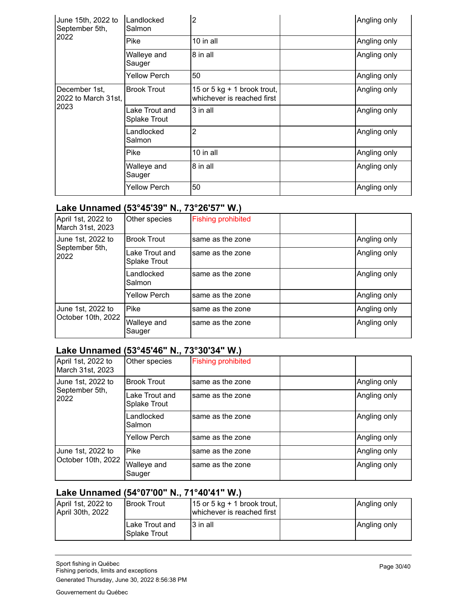| June 15th, 2022 to<br>September 5th,         | Landlocked<br>Salmon           | 2                                                         | Angling only |
|----------------------------------------------|--------------------------------|-----------------------------------------------------------|--------------|
| 2022                                         | Pike                           | 10 in all                                                 | Angling only |
|                                              | Walleye and<br>Sauger          | 8 in all                                                  | Angling only |
|                                              | Yellow Perch                   | 50                                                        | Angling only |
| December 1st,<br>2022 to March 31st,<br>2023 | <b>Brook Trout</b>             | 15 or 5 kg + 1 brook trout,<br>whichever is reached first | Angling only |
|                                              | Lake Trout and<br>Splake Trout | 3 in all                                                  | Angling only |
|                                              | _andlocked<br>Salmon           | 2                                                         | Angling only |
|                                              | Pike                           | 10 in all                                                 | Angling only |
|                                              | Walleye and<br>Sauger          | 8 in all                                                  | Angling only |
|                                              | <b>Yellow Perch</b>            | 50                                                        | Angling only |

#### **Lake Unnamed (53°45'39" N., 73°26'57" W.)**

| April 1st, 2022 to<br>March 31st, 2023  | Other species                  | <b>Fishing prohibited</b> |              |
|-----------------------------------------|--------------------------------|---------------------------|--------------|
| June 1st, 2022 to                       | <b>Brook Trout</b>             | same as the zone          | Angling only |
| September 5th,<br>2022                  | Lake Trout and<br>Splake Trout | same as the zone          | Angling only |
|                                         | Landlocked<br>Salmon           | same as the zone          | Angling only |
|                                         | <b>Yellow Perch</b>            | same as the zone          | Angling only |
| June 1st, 2022 to<br>October 10th, 2022 | Pike                           | same as the zone          | Angling only |
|                                         | Walleye and<br>Sauger          | same as the zone          | Angling only |

## **Lake Unnamed (53°45'46" N., 73°30'34" W.)**

| April 1st, 2022 to<br>March 31st, 2023  | Other species                  | <b>Fishing prohibited</b> |              |
|-----------------------------------------|--------------------------------|---------------------------|--------------|
| June 1st, 2022 to                       | <b>Brook Trout</b>             | same as the zone          | Angling only |
| September 5th,<br>2022                  | Lake Trout and<br>Splake Trout | same as the zone          | Angling only |
|                                         | Landlocked<br>Salmon           | same as the zone          | Angling only |
|                                         | <b>Yellow Perch</b>            | same as the zone          | Angling only |
| June 1st, 2022 to<br>October 10th, 2022 | Pike                           | same as the zone          | Angling only |
|                                         | Walleye and<br>Sauger          | same as the zone          | Angling only |

## **Lake Unnamed (54°07'00" N., 71°40'41" W.)**

| April 1st, 2022 to<br>April 30th, 2022 | IBrook Trout                    | 15 or 5 kg + 1 brook trout, $ $<br>Iwhichever is reached first | Angling only |
|----------------------------------------|---------------------------------|----------------------------------------------------------------|--------------|
|                                        | Lake Trout and<br>ISplake Trout | 3 in all                                                       | Angling only |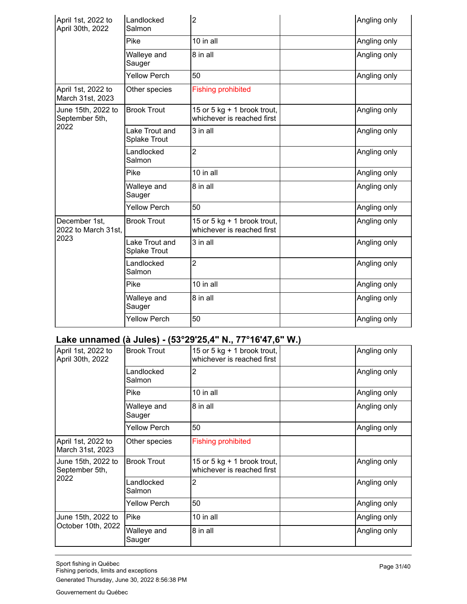| April 1st, 2022 to<br>April 30th, 2022 | Landlocked<br>Salmon                  | $\overline{2}$                                            | Angling only |
|----------------------------------------|---------------------------------------|-----------------------------------------------------------|--------------|
|                                        | Pike                                  | 10 in all                                                 | Angling only |
|                                        | Walleye and<br>Sauger                 | 8 in all                                                  | Angling only |
|                                        | <b>Yellow Perch</b>                   | 50                                                        | Angling only |
| April 1st, 2022 to<br>March 31st, 2023 | Other species                         | <b>Fishing prohibited</b>                                 |              |
| June 15th, 2022 to<br>September 5th,   | <b>Brook Trout</b>                    | 15 or 5 kg + 1 brook trout,<br>whichever is reached first | Angling only |
| 2022                                   | Lake Trout and<br>Splake Trout        | 3 in all                                                  | Angling only |
|                                        | Landlocked<br>Salmon                  | $\overline{2}$                                            | Angling only |
|                                        | Pike                                  | 10 in all                                                 | Angling only |
|                                        | Walleye and<br>Sauger                 | 8 in all                                                  | Angling only |
|                                        | <b>Yellow Perch</b>                   | 50                                                        | Angling only |
| December 1st,<br>2022 to March 31st.   | <b>Brook Trout</b>                    | 15 or 5 kg + 1 brook trout,<br>whichever is reached first | Angling only |
| 2023                                   | Lake Trout and<br><b>Splake Trout</b> | 3 in all                                                  | Angling only |
|                                        | Landlocked<br>Salmon                  | $\overline{2}$                                            | Angling only |
|                                        | Pike                                  | 10 in all                                                 | Angling only |
|                                        | Walleye and<br>Sauger                 | 8 in all                                                  | Angling only |
|                                        | <b>Yellow Perch</b>                   | 50                                                        | Angling only |

# **Lake unnamed (à Jules) - (53°29'25,4" N., 77°16'47,6" W.)**

| April 1st, 2022 to<br>April 30th, 2022       | <b>Brook Trout</b>    | 15 or 5 kg $+$ 1 brook trout,<br>whichever is reached first | Angling only |
|----------------------------------------------|-----------------------|-------------------------------------------------------------|--------------|
|                                              | Landlocked<br>Salmon  | 2                                                           | Angling only |
|                                              | Pike                  | $10$ in all                                                 | Angling only |
|                                              | Walleye and<br>Sauger | 8 in all                                                    | Angling only |
|                                              | <b>Yellow Perch</b>   | 50                                                          | Angling only |
| April 1st, 2022 to<br>March 31st, 2023       | Other species         | <b>Fishing prohibited</b>                                   |              |
| June 15th, 2022 to<br>September 5th,<br>2022 | <b>Brook Trout</b>    | 15 or 5 kg + 1 brook trout,<br>whichever is reached first   | Angling only |
|                                              | Landlocked<br>Salmon  | 2                                                           | Angling only |
|                                              | <b>Yellow Perch</b>   | 50                                                          | Angling only |
| June 15th, 2022 to                           | Pike                  | 10 in all                                                   | Angling only |
| October 10th, 2022                           | Walleye and<br>Sauger | 8 in all                                                    | Angling only |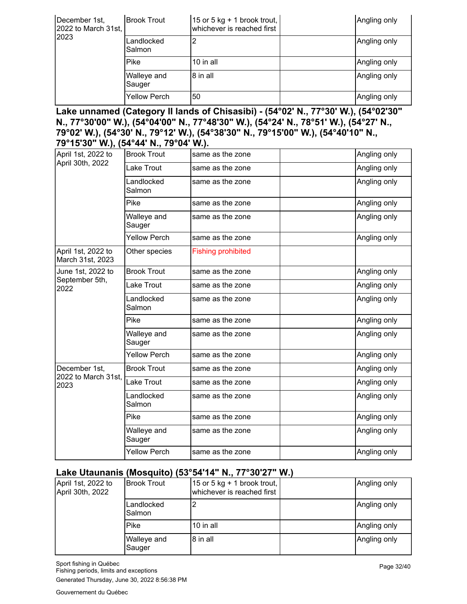| December 1st,<br>2022 to March 31st,<br>2023 | <b>Brook Trout</b>    | 15 or 5 kg + 1 brook trout, $ $<br>whichever is reached first | Angling only |
|----------------------------------------------|-----------------------|---------------------------------------------------------------|--------------|
|                                              | Landlocked<br>Salmon  | 2                                                             | Angling only |
|                                              | Pike                  | 10 in all                                                     | Angling only |
|                                              | Walleye and<br>Sauger | 8 in all                                                      | Angling only |
|                                              | <b>Yellow Perch</b>   | 50                                                            | Angling only |

**Lake unnamed (Category II lands of Chisasibi) - (54°02' N., 77°30' W.), (54°02'30" N., 77°30'00" W.), (54°04'00" N., 77°48'30" W.), (54°24' N., 78°51' W.), (54°27' N., 79°02' W.), (54°30' N., 79°12' W.), (54°38'30" N., 79°15'00" W.), (54°40'10" N., 79°15'30" W.), (54°44' N., 79°04' W.).**

| April 1st, 2022 to                     | <b>Brook Trout</b>    | same as the zone          | Angling only |
|----------------------------------------|-----------------------|---------------------------|--------------|
| April 30th, 2022                       | Lake Trout            | same as the zone          | Angling only |
|                                        | Landlocked<br>Salmon  | same as the zone          | Angling only |
|                                        | Pike                  | same as the zone          | Angling only |
|                                        | Walleye and<br>Sauger | same as the zone          | Angling only |
|                                        | <b>Yellow Perch</b>   | same as the zone          | Angling only |
| April 1st, 2022 to<br>March 31st, 2023 | Other species         | <b>Fishing prohibited</b> |              |
| June 1st, 2022 to                      | <b>Brook Trout</b>    | same as the zone          | Angling only |
| September 5th,<br>2022                 | Lake Trout            | same as the zone          | Angling only |
|                                        | Landlocked<br>Salmon  | same as the zone          | Angling only |
|                                        | Pike                  | same as the zone          | Angling only |
|                                        | Walleye and<br>Sauger | same as the zone          | Angling only |
|                                        | <b>Yellow Perch</b>   | same as the zone          | Angling only |
| December 1st,                          | <b>Brook Trout</b>    | same as the zone          | Angling only |
| 2022 to March 31st,<br>2023            | Lake Trout            | same as the zone          | Angling only |
|                                        | Landlocked<br>Salmon  | same as the zone          | Angling only |
|                                        | Pike                  | same as the zone          | Angling only |
|                                        | Walleye and<br>Sauger | same as the zone          | Angling only |
|                                        | <b>Yellow Perch</b>   | same as the zone          | Angling only |

#### **Lake Utaunanis (Mosquito) (53°54'14" N., 77°30'27" W.)**

| April 1st, 2022 to<br>April 30th, 2022 | IBrook Trout          | 15 or 5 kg + 1 brook trout,<br>whichever is reached first | Angling only |
|----------------------------------------|-----------------------|-----------------------------------------------------------|--------------|
|                                        | Landlocked<br>Salmon  |                                                           | Angling only |
|                                        | Pike                  | 10 in all                                                 | Angling only |
|                                        | Walleye and<br>Sauger | 8 in all                                                  | Angling only |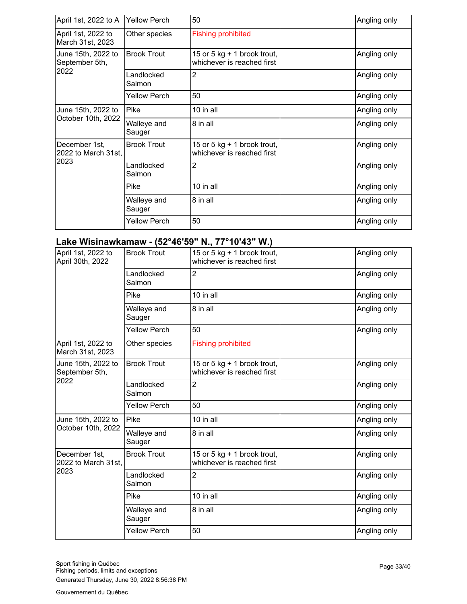| April 1st, 2022 to A                         | <b>Yellow Perch</b>   | 50                                                          | Angling only |
|----------------------------------------------|-----------------------|-------------------------------------------------------------|--------------|
| April 1st, 2022 to<br>March 31st, 2023       | Other species         | <b>Fishing prohibited</b>                                   |              |
| June 15th, 2022 to<br>September 5th,         | <b>Brook Trout</b>    | 15 or 5 $kg + 1$ brook trout,<br>whichever is reached first | Angling only |
| 2022                                         | Landlocked<br>Salmon  | 2                                                           | Angling only |
|                                              | Yellow Perch          | 50                                                          | Angling only |
| June 15th, 2022 to                           | Pike                  | 10 in all                                                   | Angling only |
| October 10th, 2022                           | Walleye and<br>Sauger | 8 in all                                                    | Angling only |
| December 1st,<br>2022 to March 31st,<br>2023 | <b>Brook Trout</b>    | 15 or 5 kg $+$ 1 brook trout,<br>whichever is reached first | Angling only |
|                                              | Landlocked<br>Salmon  | 2                                                           | Angling only |
|                                              | Pike                  | 10 in all                                                   | Angling only |
|                                              | Walleye and<br>Sauger | 8 in all                                                    | Angling only |
|                                              | Yellow Perch          | 50                                                          | Angling only |

## **Lake Wisinawkamaw - (52°46'59" N., 77°10'43" W.)**

| April 1st, 2022 to<br>April 30th, 2022 | <b>Brook Trout</b>    | 15 or 5 kg $+$ 1 brook trout,<br>whichever is reached first | Angling only |
|----------------------------------------|-----------------------|-------------------------------------------------------------|--------------|
|                                        | Landlocked<br>Salmon  | $\overline{2}$                                              | Angling only |
|                                        | Pike                  | 10 in all                                                   | Angling only |
|                                        | Walleye and<br>Sauger | 8 in all                                                    | Angling only |
|                                        | <b>Yellow Perch</b>   | 50                                                          | Angling only |
| April 1st, 2022 to<br>March 31st, 2023 | Other species         | <b>Fishing prohibited</b>                                   |              |
| June 15th, 2022 to<br>September 5th,   | <b>Brook Trout</b>    | 15 or 5 kg + 1 brook trout,<br>whichever is reached first   | Angling only |
| 2022                                   | Landlocked<br>Salmon  | 2                                                           | Angling only |
|                                        | <b>Yellow Perch</b>   | 50                                                          | Angling only |
| June 15th, 2022 to                     | Pike                  | 10 in all                                                   | Angling only |
| October 10th, 2022                     | Walleye and<br>Sauger | 8 in all                                                    | Angling only |
| December 1st,<br>2022 to March 31st,   | <b>Brook Trout</b>    | 15 or 5 kg + 1 brook trout,<br>whichever is reached first   | Angling only |
| 2023                                   | Landlocked<br>Salmon  | 2                                                           | Angling only |
|                                        | Pike                  | 10 in all                                                   | Angling only |
|                                        | Walleye and<br>Sauger | 8 in all                                                    | Angling only |
|                                        | <b>Yellow Perch</b>   | 50                                                          | Angling only |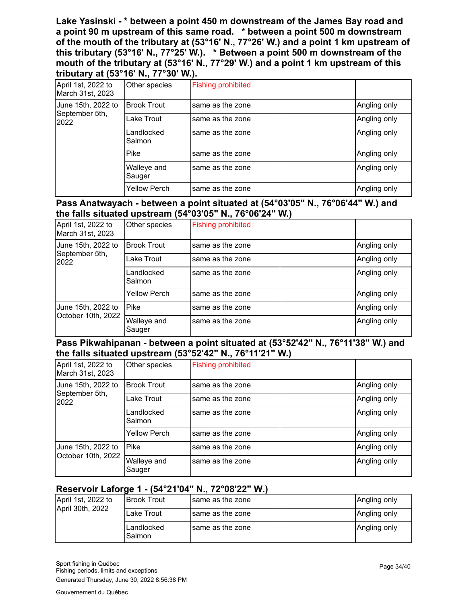**Lake Yasinski - \* between a point 450 m downstream of the James Bay road and a point 90 m upstream of this same road. \* between a point 500 m downstream of the mouth of the tributary at (53°16' N., 77°26' W.) and a point 1 km upstream of this tributary (53°16' N., 77°25' W.). \* Between a point 500 m downstream of the mouth of the tributary at (53°16' N., 77°29' W.) and a point 1 km upstream of this tributary at (53°16' N., 77°30' W.).**

| -                                      |                       |                           |              |
|----------------------------------------|-----------------------|---------------------------|--------------|
| April 1st, 2022 to<br>March 31st, 2023 | Other species         | <b>Fishing prohibited</b> |              |
| June 15th, 2022 to                     | <b>Brook Trout</b>    | same as the zone          | Angling only |
| September 5th,<br>2022                 | Lake Trout            | same as the zone          | Angling only |
|                                        | Landlocked<br>Salmon  | same as the zone          | Angling only |
|                                        | Pike                  | same as the zone          | Angling only |
|                                        | Walleye and<br>Sauger | same as the zone          | Angling only |
|                                        | <b>Yellow Perch</b>   | same as the zone          | Angling only |

#### **Pass Anatwayach - between a point situated at (54°03'05" N., 76°06'44" W.) and the falls situated upstream (54°03'05" N., 76°06'24" W.)**

| April 1st, 2022 to<br>March 31st, 2023   | Other species         | <b>Fishing prohibited</b> |              |
|------------------------------------------|-----------------------|---------------------------|--------------|
| June 15th, 2022 to                       | <b>Brook Trout</b>    | same as the zone          | Angling only |
| September 5th,<br>2022                   | Lake Trout            | same as the zone          | Angling only |
|                                          | Landlocked<br>Salmon  | same as the zone          | Angling only |
|                                          | <b>Yellow Perch</b>   | same as the zone          | Angling only |
| June 15th, 2022 to<br>October 10th, 2022 | <b>Pike</b>           | same as the zone          | Angling only |
|                                          | Walleye and<br>Sauger | same as the zone          | Angling only |

#### **Pass Pikwahipanan - between a point situated at (53°52'42" N., 76°11'38" W.) and the falls situated upstream (53°52'42" N., 76°11'21" W.)**

| April 1st, 2022 to<br>March 31st, 2023   | Other species         | <b>Fishing prohibited</b> |              |
|------------------------------------------|-----------------------|---------------------------|--------------|
| June 15th, 2022 to                       | <b>Brook Trout</b>    | same as the zone          | Angling only |
| September 5th,<br>2022                   | Lake Trout            | same as the zone          | Angling only |
|                                          | Landlocked<br>Salmon  | same as the zone          | Angling only |
|                                          | <b>Yellow Perch</b>   | same as the zone          | Angling only |
| June 15th, 2022 to<br>October 10th, 2022 | <b>Pike</b>           | same as the zone          | Angling only |
|                                          | Walleye and<br>Sauger | same as the zone          | Angling only |

#### **Reservoir Laforge 1 - (54°21'04" N., 72°08'22" W.)**

| April 1st, 2022 to | IBrook Trout         | Isame as the zone | Angling only |
|--------------------|----------------------|-------------------|--------------|
| April 30th, 2022   | Lake Trout           | Isame as the zone | Angling only |
|                    | Landlocked<br>Salmon | Isame as the zone | Angling only |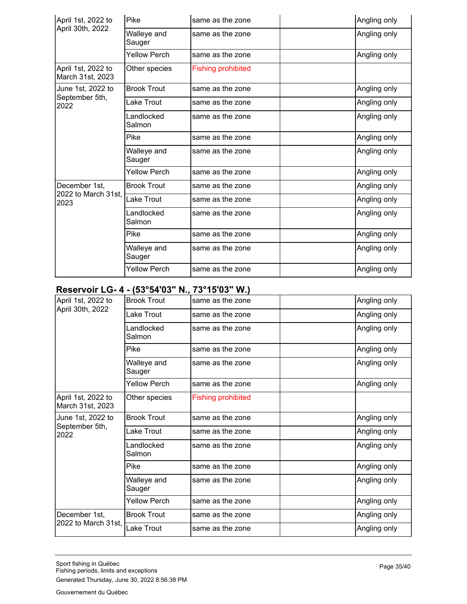| April 1st, 2022 to<br>April 30th, 2022 | Pike                  | same as the zone          | Angling only |
|----------------------------------------|-----------------------|---------------------------|--------------|
|                                        | Walleye and<br>Sauger | same as the zone          | Angling only |
|                                        | <b>Yellow Perch</b>   | same as the zone          | Angling only |
| April 1st, 2022 to<br>March 31st, 2023 | Other species         | <b>Fishing prohibited</b> |              |
| June 1st, 2022 to                      | <b>Brook Trout</b>    | same as the zone          | Angling only |
| September 5th,<br>2022                 | Lake Trout            | same as the zone          | Angling only |
|                                        | Landlocked<br>Salmon  | same as the zone          | Angling only |
|                                        | Pike                  | same as the zone          | Angling only |
|                                        | Walleye and<br>Sauger | same as the zone          | Angling only |
|                                        | <b>Yellow Perch</b>   | same as the zone          | Angling only |
| December 1st.                          | <b>Brook Trout</b>    | same as the zone          | Angling only |
| 2022 to March 31st,<br>2023            | Lake Trout            | same as the zone          | Angling only |
|                                        | Landlocked<br>Salmon  | same as the zone          | Angling only |
|                                        | Pike                  | same as the zone          | Angling only |
|                                        | Walleye and<br>Sauger | same as the zone          | Angling only |
|                                        | <b>Yellow Perch</b>   | same as the zone          | Angling only |

#### **Reservoir LG- 4 - (53°54'03" N., 73°15'03" W.)**

| April 1st, 2022 to                     | <b>Brook Trout</b>    | same as the zone          | Angling only |
|----------------------------------------|-----------------------|---------------------------|--------------|
| April 30th, 2022                       | Lake Trout            | same as the zone          | Angling only |
|                                        | Landlocked<br>Salmon  | same as the zone          | Angling only |
|                                        | Pike                  | same as the zone          | Angling only |
|                                        | Walleye and<br>Sauger | same as the zone          | Angling only |
|                                        | Yellow Perch          | same as the zone          | Angling only |
| April 1st, 2022 to<br>March 31st, 2023 | Other species         | <b>Fishing prohibited</b> |              |
| June 1st, 2022 to                      | <b>Brook Trout</b>    | same as the zone          | Angling only |
| September 5th,<br>2022                 | Lake Trout            | same as the zone          | Angling only |
|                                        | Landlocked<br>Salmon  | same as the zone          | Angling only |
|                                        | Pike                  | same as the zone          | Angling only |
|                                        | Walleye and<br>Sauger | same as the zone          | Angling only |
|                                        | <b>Yellow Perch</b>   | same as the zone          | Angling only |
| December 1st,                          | <b>Brook Trout</b>    | same as the zone          | Angling only |
| 2022 to March 31st,                    | Lake Trout            | same as the zone          | Angling only |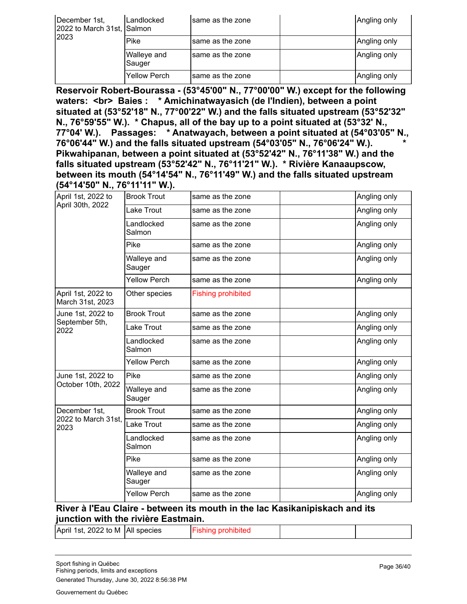| December 1st,<br>2022 to March 31st, Salmon<br>2023 | Landlocked            | same as the zone  | Angling only |
|-----------------------------------------------------|-----------------------|-------------------|--------------|
|                                                     | Pike                  | Isame as the zone | Angling only |
|                                                     | Walleye and<br>Sauger | Isame as the zone | Angling only |
|                                                     | <b>Yellow Perch</b>   | Isame as the zone | Angling only |

**Reservoir Robert-Bourassa - (53°45'00" N., 77°00'00" W.) except for the following waters: <br> Baies : \* Amichinatwayasich (de l'Indien), between a point situated at (53°52'18" N., 77°00'22" W.) and the falls situated upstream (53°52'32" N., 76°59'55" W.). \* Chapus, all of the bay up to a point situated at (53°32' N., 77°04' W.). Passages: \* Anatwayach, between a point situated at (54°03'05" N., 76°06'44" W.) and the falls situated upstream (54°03'05" N., 76°06'24" W.). \* Pikwahipanan, between a point situated at (53°52'42" N., 76°11'38" W.) and the falls situated upstream (53°52'42" N., 76°11'21" W.). \* Rivière Kanaaupscow, between its mouth (54°14'54" N., 76°11'49" W.) and the falls situated upstream (54°14'50" N., 76°11'11" W.).**

|                       | same as the zone          | Angling only |
|-----------------------|---------------------------|--------------|
| Lake Trout            | same as the zone          | Angling only |
| Landlocked<br>Salmon  | same as the zone          | Angling only |
| Pike                  | same as the zone          | Angling only |
| Walleye and<br>Sauger | same as the zone          | Angling only |
| <b>Yellow Perch</b>   | same as the zone          | Angling only |
| Other species         | <b>Fishing prohibited</b> |              |
| <b>Brook Trout</b>    | same as the zone          | Angling only |
| Lake Trout            | same as the zone          | Angling only |
| Landlocked<br>Salmon  | same as the zone          | Angling only |
| <b>Yellow Perch</b>   | same as the zone          | Angling only |
| Pike                  | same as the zone          | Angling only |
| Walleye and<br>Sauger | same as the zone          | Angling only |
| <b>Brook Trout</b>    | same as the zone          | Angling only |
| Lake Trout            | same as the zone          | Angling only |
| Landlocked<br>Salmon  | same as the zone          | Angling only |
| Pike                  | same as the zone          | Angling only |
| Walleye and<br>Sauger | same as the zone          | Angling only |
| <b>Yellow Perch</b>   | same as the zone          | Angling only |
|                       | <b>Brook Trout</b>        |              |

#### **River à l'Eau Claire - between its mouth in the lac Kasikanipiskach and its junction with the rivière Eastmain.**

| April 1st, 2022 to M   All species | <b>Fishing prohibited</b> |  |  |
|------------------------------------|---------------------------|--|--|
|------------------------------------|---------------------------|--|--|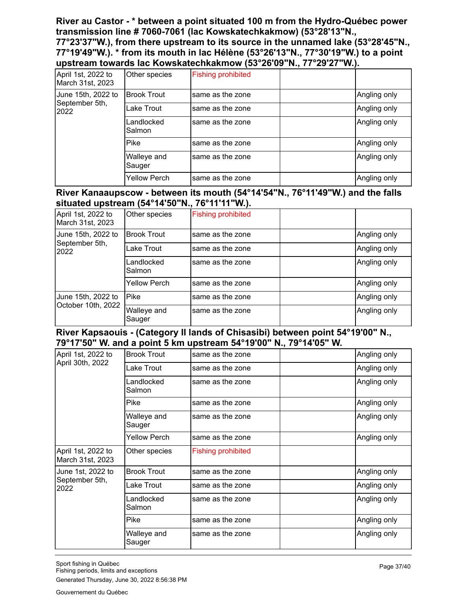**River au Castor - \* between a point situated 100 m from the Hydro-Québec power transmission line # 7060-7061 (lac Kowskatechkakmow) (53°28'13"N.,**

**77°23'37"W.), from there upstream to its source in the unnamed lake (53°28'45"N., 77°19'49"W.). \* from its mouth in lac Hélène (53°26'13"N., 77°30'19"W.) to a point upstream towards lac Kowskatechkakmow (53°26'09"N., 77°29'27"W.).**

| April 1st, 2022 to<br>March 31st, 2023 | Other species         | <b>Fishing prohibited</b> |              |
|----------------------------------------|-----------------------|---------------------------|--------------|
| June 15th, 2022 to                     | <b>Brook Trout</b>    | same as the zone          | Angling only |
| September 5th,<br>2022                 | Lake Trout            | same as the zone          | Angling only |
|                                        | Landlocked<br>Salmon  | same as the zone          | Angling only |
|                                        | <b>Pike</b>           | same as the zone          | Angling only |
|                                        | Walleye and<br>Sauger | same as the zone          | Angling only |
|                                        | <b>Yellow Perch</b>   | same as the zone          | Angling only |

#### **River Kanaaupscow - between its mouth (54°14'54"N., 76°11'49"W.) and the falls situated upstream (54°14'50"N., 76°11'11"W.).**

| April 1st, 2022 to<br>March 31st, 2023   | Other species         | <b>Fishing prohibited</b> |              |
|------------------------------------------|-----------------------|---------------------------|--------------|
| June 15th, 2022 to                       | <b>Brook Trout</b>    | same as the zone          | Angling only |
| September 5th,<br>2022                   | Lake Trout            | same as the zone          | Angling only |
|                                          | Landlocked<br>Salmon  | same as the zone          | Angling only |
|                                          | <b>Yellow Perch</b>   | same as the zone          | Angling only |
| June 15th, 2022 to<br>October 10th, 2022 | <b>Pike</b>           | same as the zone          | Angling only |
|                                          | Walleye and<br>Sauger | same as the zone          | Angling only |

#### **River Kapsaouis - (Category II lands of Chisasibi) between point 54°19'00" N., 79°17'50" W. and a point 5 km upstream 54°19'00" N., 79°14'05" W.**

| April 1st, 2022 to                     | <b>Brook Trout</b>    | same as the zone          | Angling only |
|----------------------------------------|-----------------------|---------------------------|--------------|
| April 30th, 2022                       | Lake Trout            | same as the zone          | Angling only |
|                                        | Landlocked<br>Salmon  | same as the zone          | Angling only |
|                                        | <b>Pike</b>           | same as the zone          | Angling only |
|                                        | Walleye and<br>Sauger | same as the zone          | Angling only |
|                                        | <b>Yellow Perch</b>   | same as the zone          | Angling only |
| April 1st, 2022 to<br>March 31st, 2023 | Other species         | <b>Fishing prohibited</b> |              |
| June 1st, 2022 to                      | <b>Brook Trout</b>    | same as the zone          | Angling only |
| September 5th,<br>2022                 | Lake Trout            | same as the zone          | Angling only |
|                                        | Landlocked<br>Salmon  | same as the zone          | Angling only |
|                                        | Pike                  | same as the zone          | Angling only |
|                                        | Walleye and<br>Sauger | same as the zone          | Angling only |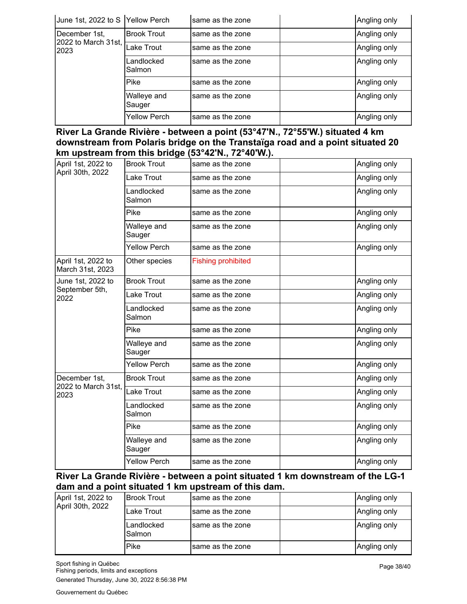| June 1st, 2022 to S Yellow Perch             |                       | same as the zone | Angling only |
|----------------------------------------------|-----------------------|------------------|--------------|
| December 1st,<br>2022 to March 31st,<br>2023 | <b>Brook Trout</b>    | same as the zone | Angling only |
|                                              | Lake Trout            | same as the zone | Angling only |
|                                              | Landlocked<br>Salmon  | same as the zone | Angling only |
|                                              | <b>Pike</b>           | same as the zone | Angling only |
|                                              | Walleye and<br>Sauger | same as the zone | Angling only |
|                                              | <b>Yellow Perch</b>   | same as the zone | Angling only |

**River La Grande Rivière - between a point (53°47'N., 72°55'W.) situated 4 km downstream from Polaris bridge on the Transtaïga road and a point situated 20 km upstream from this bridge (53°42'N., 72°40'W.).**

| April 1st, 2022 to<br>April 30th, 2022 | <b>Brook Trout</b>    | same as the zone          | Angling only |
|----------------------------------------|-----------------------|---------------------------|--------------|
|                                        | Lake Trout            | same as the zone          | Angling only |
|                                        | Landlocked<br>Salmon  | same as the zone          | Angling only |
|                                        | Pike                  | same as the zone          | Angling only |
|                                        | Walleye and<br>Sauger | same as the zone          | Angling only |
|                                        | <b>Yellow Perch</b>   | same as the zone          | Angling only |
| April 1st, 2022 to<br>March 31st, 2023 | Other species         | <b>Fishing prohibited</b> |              |
| June 1st, 2022 to                      | <b>Brook Trout</b>    | same as the zone          | Angling only |
| September 5th,<br>2022                 | Lake Trout            | same as the zone          | Angling only |
|                                        | Landlocked<br>Salmon  | same as the zone          | Angling only |
|                                        | Pike                  | same as the zone          | Angling only |
|                                        | Walleye and<br>Sauger | same as the zone          | Angling only |
|                                        | <b>Yellow Perch</b>   | same as the zone          | Angling only |
| December 1st,                          | <b>Brook Trout</b>    | same as the zone          | Angling only |
| 2022 to March 31st,<br>2023            | Lake Trout            | same as the zone          | Angling only |
|                                        | Landlocked<br>Salmon  | same as the zone          | Angling only |
|                                        | Pike                  | same as the zone          | Angling only |
|                                        | Walleye and<br>Sauger | same as the zone          | Angling only |
|                                        | <b>Yellow Perch</b>   | same as the zone          | Angling only |

**River La Grande Rivière - between a point situated 1 km downstream of the LG-1 dam and a point situated 1 km upstream of this dam.**

| April 1st, 2022 to<br>April 30th, 2022 | <b>IBrook Trout</b>  | same as the zone  | Angling only |
|----------------------------------------|----------------------|-------------------|--------------|
|                                        | Lake Trout           | Isame as the zone | Angling only |
|                                        | Landlocked<br>Salmon | Isame as the zone | Angling only |
|                                        | Pike                 | same as the zone  | Angling only |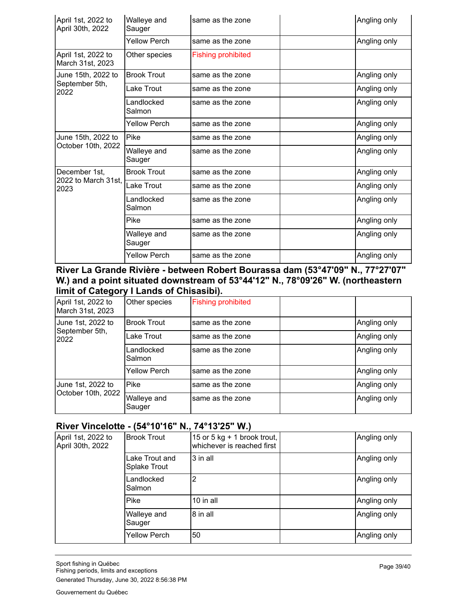| April 1st, 2022 to<br>April 30th, 2022       | Walleye and<br>Sauger | same as the zone          | Angling only |
|----------------------------------------------|-----------------------|---------------------------|--------------|
|                                              | <b>Yellow Perch</b>   | same as the zone          | Angling only |
| April 1st, 2022 to<br>March 31st, 2023       | Other species         | <b>Fishing prohibited</b> |              |
| June 15th, 2022 to                           | <b>Brook Trout</b>    | same as the zone          | Angling only |
| September 5th,<br>2022                       | Lake Trout            | same as the zone          | Angling only |
|                                              | Landlocked<br>Salmon  | same as the zone          | Angling only |
|                                              | Yellow Perch          | same as the zone          | Angling only |
| June 15th, 2022 to                           | Pike                  | same as the zone          | Angling only |
| October 10th, 2022                           | Walleye and<br>Sauger | same as the zone          | Angling only |
| December 1st,<br>2022 to March 31st,<br>2023 | <b>Brook Trout</b>    | same as the zone          | Angling only |
|                                              | Lake Trout            | same as the zone          | Angling only |
|                                              | Landlocked<br>Salmon  | same as the zone          | Angling only |
|                                              | Pike                  | same as the zone          | Angling only |
|                                              | Walleye and<br>Sauger | same as the zone          | Angling only |
|                                              | <b>Yellow Perch</b>   | same as the zone          | Angling only |

#### **River La Grande Rivière - between Robert Bourassa dam (53°47'09" N., 77°27'07" W.) and a point situated downstream of 53°44'12" N., 78°09'26" W. (northeastern limit of Category I Lands of Chisasibi).**

| April 1st, 2022 to<br>March 31st, 2023      | Other species         | <b>Fishing prohibited</b> |              |
|---------------------------------------------|-----------------------|---------------------------|--------------|
| June 1st, 2022 to<br>September 5th,<br>2022 | <b>Brook Trout</b>    | same as the zone          | Angling only |
|                                             | Lake Trout            | same as the zone          | Angling only |
|                                             | Landlocked<br>Salmon  | same as the zone          | Angling only |
|                                             | <b>Yellow Perch</b>   | same as the zone          | Angling only |
| June 1st, 2022 to<br>October 10th, 2022     | Pike                  | same as the zone          | Angling only |
|                                             | Walleye and<br>Sauger | same as the zone          | Angling only |

## **River Vincelotte - (54°10'16" N., 74°13'25" W.)**

| April 1st, 2022 to<br>April 30th, 2022 | <b>Brook Trout</b>             | 15 or 5 kg $+$ 1 brook trout,<br>whichever is reached first | Angling only |
|----------------------------------------|--------------------------------|-------------------------------------------------------------|--------------|
|                                        | Lake Trout and<br>Splake Trout | 3 in all                                                    | Angling only |
|                                        | Landlocked<br>Salmon           | 2                                                           | Angling only |
|                                        | Pike                           | $10$ in all                                                 | Angling only |
|                                        | Walleye and<br>Sauger          | 8 in all                                                    | Angling only |
|                                        | <b>Yellow Perch</b>            | 50                                                          | Angling only |